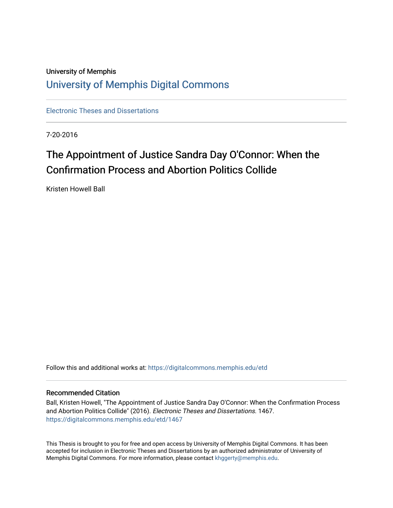## University of Memphis [University of Memphis Digital Commons](https://digitalcommons.memphis.edu/)

[Electronic Theses and Dissertations](https://digitalcommons.memphis.edu/etd)

7-20-2016

# The Appointment of Justice Sandra Day O'Connor: When the Confirmation Process and Abortion Politics Collide

Kristen Howell Ball

Follow this and additional works at: [https://digitalcommons.memphis.edu/etd](https://digitalcommons.memphis.edu/etd?utm_source=digitalcommons.memphis.edu%2Fetd%2F1467&utm_medium=PDF&utm_campaign=PDFCoverPages) 

## Recommended Citation

Ball, Kristen Howell, "The Appointment of Justice Sandra Day O'Connor: When the Confirmation Process and Abortion Politics Collide" (2016). Electronic Theses and Dissertations. 1467. [https://digitalcommons.memphis.edu/etd/1467](https://digitalcommons.memphis.edu/etd/1467?utm_source=digitalcommons.memphis.edu%2Fetd%2F1467&utm_medium=PDF&utm_campaign=PDFCoverPages) 

This Thesis is brought to you for free and open access by University of Memphis Digital Commons. It has been accepted for inclusion in Electronic Theses and Dissertations by an authorized administrator of University of Memphis Digital Commons. For more information, please contact [khggerty@memphis.edu.](mailto:khggerty@memphis.edu)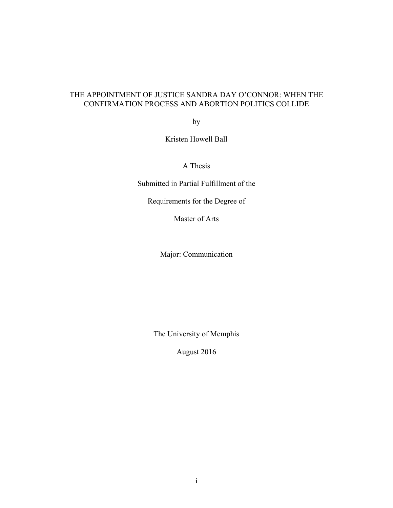## THE APPOINTMENT OF JUSTICE SANDRA DAY O'CONNOR: WHEN THE CONFIRMATION PROCESS AND ABORTION POLITICS COLLIDE

by

Kristen Howell Ball

A Thesis

Submitted in Partial Fulfillment of the

Requirements for the Degree of

Master of Arts

Major: Communication

The University of Memphis

August 2016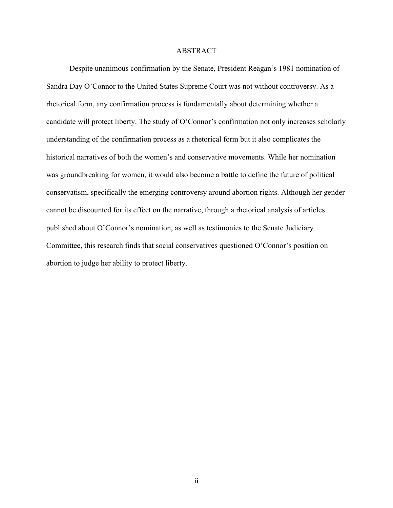## ABSTRACT

Despite unanimous confirmation by the Senate, President Reagan's 1981 nomination of Sandra Day O'Connor to the United States Supreme Court was not without controversy. As a rhetorical form, any confirmation process is fundamentally about determining whether a candidate will protect liberty. The study of O'Connor's confirmation not only increases scholarly understanding of the confirmation process as a rhetorical form but it also complicates the historical narratives of both the women's and conservative movements. While her nomination was groundbreaking for women, it would also become a battle to define the future of political conservatism, specifically the emerging controversy around abortion rights. Although her gender cannot be discounted for its effect on the narrative, through a rhetorical analysis of articles published about O'Connor's nomination, as well as testimonies to the Senate Judiciary Committee, this research finds that social conservatives questioned O'Connor's position on abortion to judge her ability to protect liberty.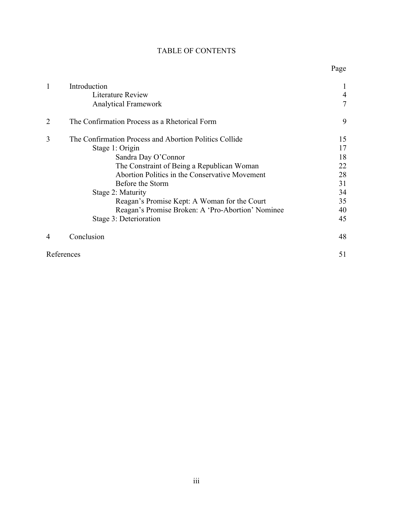|  | <b>TABLE OF CONTENTS</b> |
|--|--------------------------|
|--|--------------------------|

Page

| 1              | Introduction<br>Literature Review<br><b>Analytical Framework</b>                                                                                                                                                                                                                                                                                                         | 4<br>7                                                   |
|----------------|--------------------------------------------------------------------------------------------------------------------------------------------------------------------------------------------------------------------------------------------------------------------------------------------------------------------------------------------------------------------------|----------------------------------------------------------|
| $\overline{2}$ | The Confirmation Process as a Rhetorical Form                                                                                                                                                                                                                                                                                                                            | 9                                                        |
| 3              | The Confirmation Process and Abortion Politics Collide<br>Stage 1: Origin<br>Sandra Day O'Connor<br>The Constraint of Being a Republican Woman<br>Abortion Politics in the Conservative Movement<br>Before the Storm<br>Stage 2: Maturity<br>Reagan's Promise Kept: A Woman for the Court<br>Reagan's Promise Broken: A 'Pro-Abortion' Nominee<br>Stage 3: Deterioration | 15<br>17<br>18<br>22<br>28<br>31<br>34<br>35<br>40<br>45 |
| 4              | Conclusion                                                                                                                                                                                                                                                                                                                                                               | 48                                                       |
|                | References                                                                                                                                                                                                                                                                                                                                                               | 51                                                       |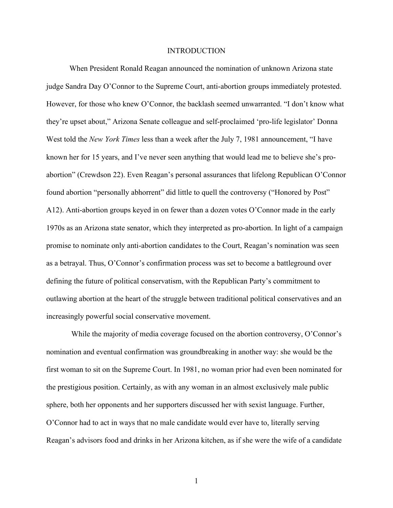## INTRODUCTION

When President Ronald Reagan announced the nomination of unknown Arizona state judge Sandra Day O'Connor to the Supreme Court, anti-abortion groups immediately protested. However, for those who knew O'Connor, the backlash seemed unwarranted. "I don't know what they're upset about," Arizona Senate colleague and self-proclaimed 'pro-life legislator' Donna West told the *New York Times* less than a week after the July 7, 1981 announcement, "I have known her for 15 years, and I've never seen anything that would lead me to believe she's proabortion" (Crewdson 22). Even Reagan's personal assurances that lifelong Republican O'Connor found abortion "personally abhorrent" did little to quell the controversy ("Honored by Post" A12). Anti-abortion groups keyed in on fewer than a dozen votes O'Connor made in the early 1970s as an Arizona state senator, which they interpreted as pro-abortion. In light of a campaign promise to nominate only anti-abortion candidates to the Court, Reagan's nomination was seen as a betrayal. Thus, O'Connor's confirmation process was set to become a battleground over defining the future of political conservatism, with the Republican Party's commitment to outlawing abortion at the heart of the struggle between traditional political conservatives and an increasingly powerful social conservative movement.

 While the majority of media coverage focused on the abortion controversy, O'Connor's nomination and eventual confirmation was groundbreaking in another way: she would be the first woman to sit on the Supreme Court. In 1981, no woman prior had even been nominated for the prestigious position. Certainly, as with any woman in an almost exclusively male public sphere, both her opponents and her supporters discussed her with sexist language. Further, O'Connor had to act in ways that no male candidate would ever have to, literally serving Reagan's advisors food and drinks in her Arizona kitchen, as if she were the wife of a candidate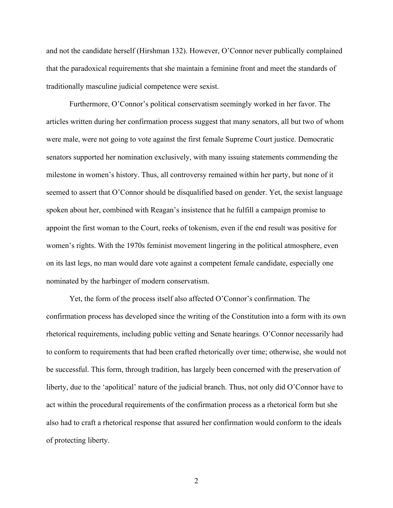and not the candidate herself (Hirshman 132). However, O'Connor never publically complained that the paradoxical requirements that she maintain a feminine front and meet the standards of traditionally masculine judicial competence were sexist.

Furthermore, O'Connor's political conservatism seemingly worked in her favor. The articles written during her confirmation process suggest that many senators, all but two of whom were male, were not going to vote against the first female Supreme Court justice. Democratic senators supported her nomination exclusively, with many issuing statements commending the milestone in women's history. Thus, all controversy remained within her party, but none of it seemed to assert that O'Connor should be disqualified based on gender. Yet, the sexist language spoken about her, combined with Reagan's insistence that he fulfill a campaign promise to appoint the first woman to the Court, reeks of tokenism, even if the end result was positive for women's rights. With the 1970s feminist movement lingering in the political atmosphere, even on its last legs, no man would dare vote against a competent female candidate, especially one nominated by the harbinger of modern conservatism.

Yet, the form of the process itself also affected O'Connor's confirmation. The confirmation process has developed since the writing of the Constitution into a form with its own rhetorical requirements, including public vetting and Senate hearings. O'Connor necessarily had to conform to requirements that had been crafted rhetorically over time; otherwise, she would not be successful. This form, through tradition, has largely been concerned with the preservation of liberty, due to the 'apolitical' nature of the judicial branch. Thus, not only did O'Connor have to act within the procedural requirements of the confirmation process as a rhetorical form but she also had to craft a rhetorical response that assured her confirmation would conform to the ideals of protecting liberty.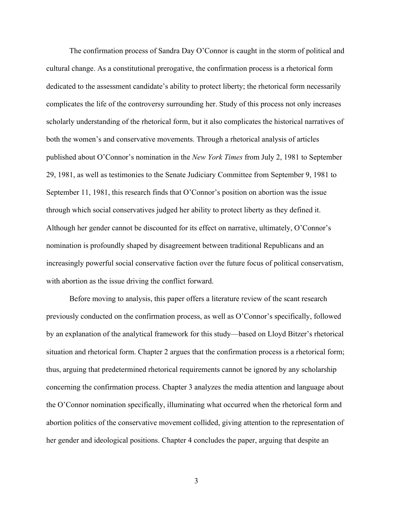The confirmation process of Sandra Day O'Connor is caught in the storm of political and cultural change. As a constitutional prerogative, the confirmation process is a rhetorical form dedicated to the assessment candidate's ability to protect liberty; the rhetorical form necessarily complicates the life of the controversy surrounding her. Study of this process not only increases scholarly understanding of the rhetorical form, but it also complicates the historical narratives of both the women's and conservative movements. Through a rhetorical analysis of articles published about O'Connor's nomination in the *New York Times* from July 2, 1981 to September 29, 1981, as well as testimonies to the Senate Judiciary Committee from September 9, 1981 to September 11, 1981, this research finds that O'Connor's position on abortion was the issue through which social conservatives judged her ability to protect liberty as they defined it. Although her gender cannot be discounted for its effect on narrative, ultimately, O'Connor's nomination is profoundly shaped by disagreement between traditional Republicans and an increasingly powerful social conservative faction over the future focus of political conservatism, with abortion as the issue driving the conflict forward.

Before moving to analysis, this paper offers a literature review of the scant research previously conducted on the confirmation process, as well as O'Connor's specifically, followed by an explanation of the analytical framework for this study—based on Lloyd Bitzer's rhetorical situation and rhetorical form. Chapter 2 argues that the confirmation process is a rhetorical form; thus, arguing that predetermined rhetorical requirements cannot be ignored by any scholarship concerning the confirmation process. Chapter 3 analyzes the media attention and language about the O'Connor nomination specifically, illuminating what occurred when the rhetorical form and abortion politics of the conservative movement collided, giving attention to the representation of her gender and ideological positions. Chapter 4 concludes the paper, arguing that despite an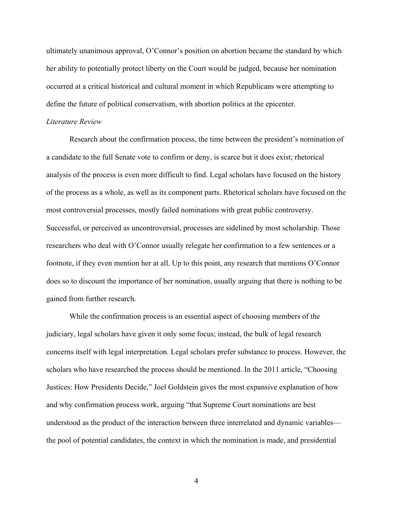ultimately unanimous approval, O'Connor's position on abortion became the standard by which her ability to potentially protect liberty on the Court would be judged, because her nomination occurred at a critical historical and cultural moment in which Republicans were attempting to define the future of political conservatism, with abortion politics at the epicenter.

## *Literature Review*

Research about the confirmation process, the time between the president's nomination of a candidate to the full Senate vote to confirm or deny, is scarce but it does exist; rhetorical analysis of the process is even more difficult to find. Legal scholars have focused on the history of the process as a whole, as well as its component parts. Rhetorical scholars have focused on the most controversial processes, mostly failed nominations with great public controversy. Successful, or perceived as uncontroversial, processes are sidelined by most scholarship. Those researchers who deal with O'Connor usually relegate her confirmation to a few sentences or a footnote, if they even mention her at all. Up to this point, any research that mentions O'Connor does so to discount the importance of her nomination, usually arguing that there is nothing to be gained from further research.

While the confirmation process is an essential aspect of choosing members of the judiciary, legal scholars have given it only some focus; instead, the bulk of legal research concerns itself with legal interpretation. Legal scholars prefer substance to process. However, the scholars who have researched the process should be mentioned. In the 2011 article, "Choosing Justices: How Presidents Decide," Joel Goldstein gives the most expansive explanation of how and why confirmation process work, arguing "that Supreme Court nominations are best understood as the product of the interaction between three interrelated and dynamic variables the pool of potential candidates, the context in which the nomination is made, and presidential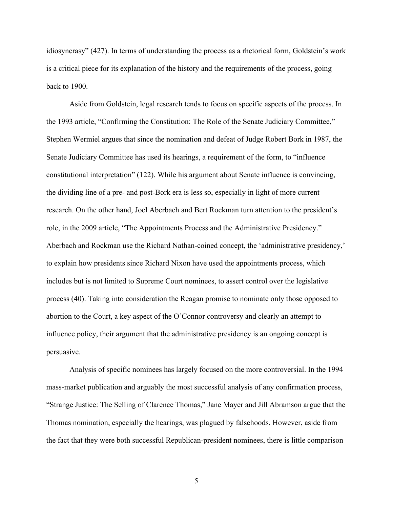idiosyncrasy" (427). In terms of understanding the process as a rhetorical form, Goldstein's work is a critical piece for its explanation of the history and the requirements of the process, going back to 1900.

Aside from Goldstein, legal research tends to focus on specific aspects of the process. In the 1993 article, "Confirming the Constitution: The Role of the Senate Judiciary Committee," Stephen Wermiel argues that since the nomination and defeat of Judge Robert Bork in 1987, the Senate Judiciary Committee has used its hearings, a requirement of the form, to "influence constitutional interpretation" (122). While his argument about Senate influence is convincing, the dividing line of a pre- and post-Bork era is less so, especially in light of more current research. On the other hand, Joel Aberbach and Bert Rockman turn attention to the president's role, in the 2009 article, "The Appointments Process and the Administrative Presidency." Aberbach and Rockman use the Richard Nathan-coined concept, the 'administrative presidency,' to explain how presidents since Richard Nixon have used the appointments process, which includes but is not limited to Supreme Court nominees, to assert control over the legislative process (40). Taking into consideration the Reagan promise to nominate only those opposed to abortion to the Court, a key aspect of the O'Connor controversy and clearly an attempt to influence policy, their argument that the administrative presidency is an ongoing concept is persuasive.

Analysis of specific nominees has largely focused on the more controversial. In the 1994 mass-market publication and arguably the most successful analysis of any confirmation process, "Strange Justice: The Selling of Clarence Thomas," Jane Mayer and Jill Abramson argue that the Thomas nomination, especially the hearings, was plagued by falsehoods. However, aside from the fact that they were both successful Republican-president nominees, there is little comparison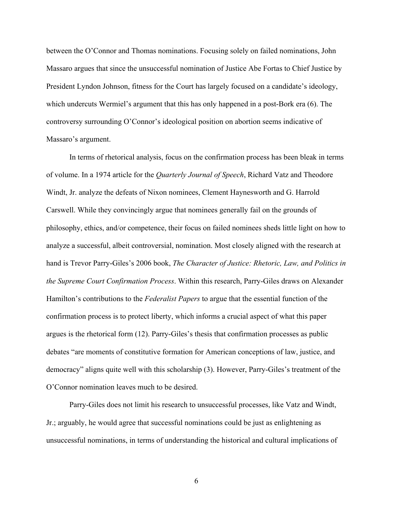between the O'Connor and Thomas nominations. Focusing solely on failed nominations, John Massaro argues that since the unsuccessful nomination of Justice Abe Fortas to Chief Justice by President Lyndon Johnson, fitness for the Court has largely focused on a candidate's ideology, which undercuts Wermiel's argument that this has only happened in a post-Bork era (6). The controversy surrounding O'Connor's ideological position on abortion seems indicative of Massaro's argument.

In terms of rhetorical analysis, focus on the confirmation process has been bleak in terms of volume. In a 1974 article for the *Quarterly Journal of Speech*, Richard Vatz and Theodore Windt, Jr. analyze the defeats of Nixon nominees, Clement Haynesworth and G. Harrold Carswell. While they convincingly argue that nominees generally fail on the grounds of philosophy, ethics, and/or competence, their focus on failed nominees sheds little light on how to analyze a successful, albeit controversial, nomination. Most closely aligned with the research at hand is Trevor Parry-Giles's 2006 book, *The Character of Justice: Rhetoric, Law, and Politics in the Supreme Court Confirmation Process*. Within this research, Parry-Giles draws on Alexander Hamilton's contributions to the *Federalist Papers* to argue that the essential function of the confirmation process is to protect liberty, which informs a crucial aspect of what this paper argues is the rhetorical form (12). Parry-Giles's thesis that confirmation processes as public debates "are moments of constitutive formation for American conceptions of law, justice, and democracy" aligns quite well with this scholarship (3). However, Parry-Giles's treatment of the O'Connor nomination leaves much to be desired.

Parry-Giles does not limit his research to unsuccessful processes, like Vatz and Windt, Jr.; arguably, he would agree that successful nominations could be just as enlightening as unsuccessful nominations, in terms of understanding the historical and cultural implications of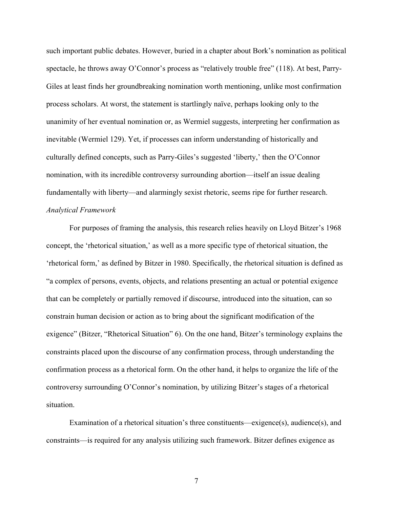such important public debates. However, buried in a chapter about Bork's nomination as political spectacle, he throws away O'Connor's process as "relatively trouble free" (118). At best, Parry-Giles at least finds her groundbreaking nomination worth mentioning, unlike most confirmation process scholars. At worst, the statement is startlingly naïve, perhaps looking only to the unanimity of her eventual nomination or, as Wermiel suggests, interpreting her confirmation as inevitable (Wermiel 129). Yet, if processes can inform understanding of historically and culturally defined concepts, such as Parry-Giles's suggested 'liberty,' then the O'Connor nomination, with its incredible controversy surrounding abortion—itself an issue dealing fundamentally with liberty—and alarmingly sexist rhetoric, seems ripe for further research. *Analytical Framework*

For purposes of framing the analysis, this research relies heavily on Lloyd Bitzer's 1968 concept, the 'rhetorical situation,' as well as a more specific type of rhetorical situation, the 'rhetorical form,' as defined by Bitzer in 1980. Specifically, the rhetorical situation is defined as "a complex of persons, events, objects, and relations presenting an actual or potential exigence that can be completely or partially removed if discourse, introduced into the situation, can so constrain human decision or action as to bring about the significant modification of the exigence" (Bitzer, "Rhetorical Situation" 6). On the one hand, Bitzer's terminology explains the constraints placed upon the discourse of any confirmation process, through understanding the confirmation process as a rhetorical form. On the other hand, it helps to organize the life of the controversy surrounding O'Connor's nomination, by utilizing Bitzer's stages of a rhetorical situation.

Examination of a rhetorical situation's three constituents—exigence(s), audience(s), and constraints—is required for any analysis utilizing such framework. Bitzer defines exigence as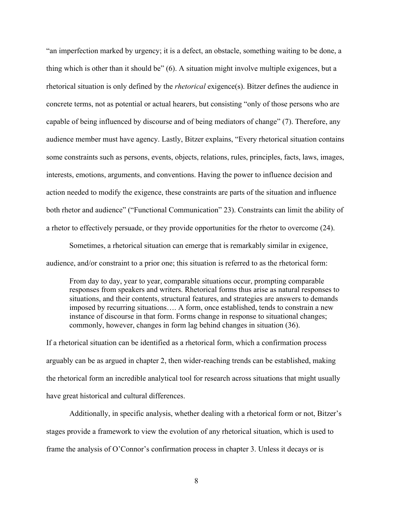"an imperfection marked by urgency; it is a defect, an obstacle, something waiting to be done, a thing which is other than it should be" (6). A situation might involve multiple exigences, but a rhetorical situation is only defined by the *rhetorical* exigence(s). Bitzer defines the audience in concrete terms, not as potential or actual hearers, but consisting "only of those persons who are capable of being influenced by discourse and of being mediators of change" (7). Therefore, any audience member must have agency. Lastly, Bitzer explains, "Every rhetorical situation contains some constraints such as persons, events, objects, relations, rules, principles, facts, laws, images, interests, emotions, arguments, and conventions. Having the power to influence decision and action needed to modify the exigence, these constraints are parts of the situation and influence both rhetor and audience" ("Functional Communication" 23). Constraints can limit the ability of a rhetor to effectively persuade, or they provide opportunities for the rhetor to overcome (24).

Sometimes, a rhetorical situation can emerge that is remarkably similar in exigence, audience, and/or constraint to a prior one; this situation is referred to as the rhetorical form:

From day to day, year to year, comparable situations occur, prompting comparable responses from speakers and writers. Rhetorical forms thus arise as natural responses to situations, and their contents, structural features, and strategies are answers to demands imposed by recurring situations…. A form, once established, tends to constrain a new instance of discourse in that form. Forms change in response to situational changes; commonly, however, changes in form lag behind changes in situation (36).

If a rhetorical situation can be identified as a rhetorical form, which a confirmation process arguably can be as argued in chapter 2, then wider-reaching trends can be established, making the rhetorical form an incredible analytical tool for research across situations that might usually have great historical and cultural differences.

Additionally, in specific analysis, whether dealing with a rhetorical form or not, Bitzer's stages provide a framework to view the evolution of any rhetorical situation, which is used to frame the analysis of O'Connor's confirmation process in chapter 3. Unless it decays or is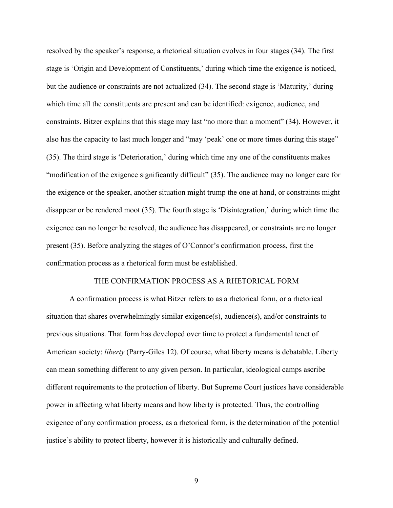resolved by the speaker's response, a rhetorical situation evolves in four stages (34). The first stage is 'Origin and Development of Constituents,' during which time the exigence is noticed, but the audience or constraints are not actualized (34). The second stage is 'Maturity,' during which time all the constituents are present and can be identified: exigence, audience, and constraints. Bitzer explains that this stage may last "no more than a moment" (34). However, it also has the capacity to last much longer and "may 'peak' one or more times during this stage" (35). The third stage is 'Deterioration,' during which time any one of the constituents makes "modification of the exigence significantly difficult" (35). The audience may no longer care for the exigence or the speaker, another situation might trump the one at hand, or constraints might disappear or be rendered moot (35). The fourth stage is 'Disintegration,' during which time the exigence can no longer be resolved, the audience has disappeared, or constraints are no longer present (35). Before analyzing the stages of O'Connor's confirmation process, first the confirmation process as a rhetorical form must be established.

## THE CONFIRMATION PROCESS AS A RHETORICAL FORM

A confirmation process is what Bitzer refers to as a rhetorical form, or a rhetorical situation that shares overwhelmingly similar exigence(s), audience(s), and/or constraints to previous situations. That form has developed over time to protect a fundamental tenet of American society: *liberty* (Parry-Giles 12). Of course, what liberty means is debatable. Liberty can mean something different to any given person. In particular, ideological camps ascribe different requirements to the protection of liberty. But Supreme Court justices have considerable power in affecting what liberty means and how liberty is protected. Thus, the controlling exigence of any confirmation process, as a rhetorical form, is the determination of the potential justice's ability to protect liberty, however it is historically and culturally defined.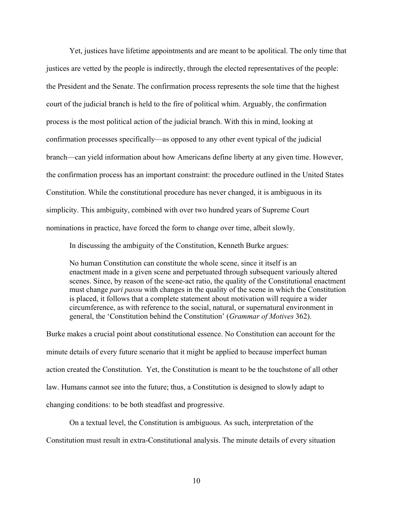Yet, justices have lifetime appointments and are meant to be apolitical. The only time that justices are vetted by the people is indirectly, through the elected representatives of the people: the President and the Senate. The confirmation process represents the sole time that the highest court of the judicial branch is held to the fire of political whim. Arguably, the confirmation process is the most political action of the judicial branch. With this in mind, looking at confirmation processes specifically—as opposed to any other event typical of the judicial branch—can yield information about how Americans define liberty at any given time. However, the confirmation process has an important constraint: the procedure outlined in the United States Constitution. While the constitutional procedure has never changed, it is ambiguous in its simplicity. This ambiguity, combined with over two hundred years of Supreme Court nominations in practice, have forced the form to change over time, albeit slowly.

In discussing the ambiguity of the Constitution, Kenneth Burke argues:

No human Constitution can constitute the whole scene, since it itself is an enactment made in a given scene and perpetuated through subsequent variously altered scenes. Since, by reason of the scene-act ratio, the quality of the Constitutional enactment must change *pari passu* with changes in the quality of the scene in which the Constitution is placed, it follows that a complete statement about motivation will require a wider circumference, as with reference to the social, natural, or supernatural environment in general, the 'Constitution behind the Constitution' (*Grammar of Motives* 362).

Burke makes a crucial point about constitutional essence. No Constitution can account for the minute details of every future scenario that it might be applied to because imperfect human action created the Constitution. Yet, the Constitution is meant to be the touchstone of all other law. Humans cannot see into the future; thus, a Constitution is designed to slowly adapt to changing conditions: to be both steadfast and progressive.

On a textual level, the Constitution is ambiguous. As such, interpretation of the Constitution must result in extra-Constitutional analysis. The minute details of every situation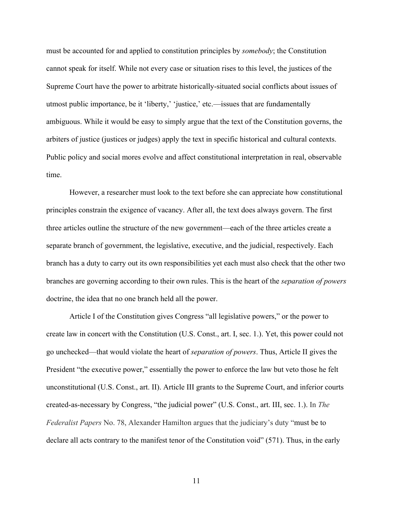must be accounted for and applied to constitution principles by *somebody*; the Constitution cannot speak for itself. While not every case or situation rises to this level, the justices of the Supreme Court have the power to arbitrate historically-situated social conflicts about issues of utmost public importance, be it 'liberty,' 'justice,' etc.—issues that are fundamentally ambiguous. While it would be easy to simply argue that the text of the Constitution governs, the arbiters of justice (justices or judges) apply the text in specific historical and cultural contexts. Public policy and social mores evolve and affect constitutional interpretation in real, observable time.

However, a researcher must look to the text before she can appreciate how constitutional principles constrain the exigence of vacancy. After all, the text does always govern. The first three articles outline the structure of the new government—each of the three articles create a separate branch of government, the legislative, executive, and the judicial, respectively. Each branch has a duty to carry out its own responsibilities yet each must also check that the other two branches are governing according to their own rules. This is the heart of the *separation of powers* doctrine, the idea that no one branch held all the power.

Article I of the Constitution gives Congress "all legislative powers," or the power to create law in concert with the Constitution (U.S. Const., art. I, sec. 1.). Yet, this power could not go unchecked—that would violate the heart of *separation of powers*. Thus, Article II gives the President "the executive power," essentially the power to enforce the law but veto those he felt unconstitutional (U.S. Const., art. II). Article III grants to the Supreme Court, and inferior courts created-as-necessary by Congress, "the judicial power" (U.S. Const., art. III, sec. 1.). In *The Federalist Papers* No. 78, Alexander Hamilton argues that the judiciary's duty "must be to declare all acts contrary to the manifest tenor of the Constitution void" (571). Thus, in the early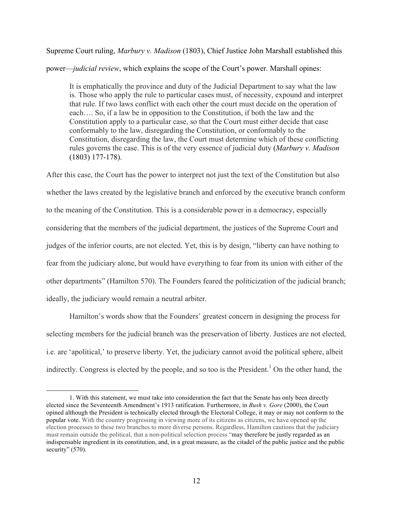Supreme Court ruling, *Marbury v. Madison* (1803), Chief Justice John Marshall established this power—*judicial review*, which explains the scope of the Court's power. Marshall opines:

It is emphatically the province and duty of the Judicial Department to say what the law is*.* Those who apply the rule to particular cases must, of necessity, expound and interpret that rule. If two laws conflict with each other the court must decide on the operation of each…. So, if a law be in opposition to the Constitution, if both the law and the Constitution apply to a particular case, so that the Court must either decide that case conformably to the law, disregarding the Constitution, or conformably to the Constitution, disregarding the law, the Court must determine which of these conflicting rules governs the case. This is of the very essence of judicial duty (*Marbury v. Madison* (1803) 177-178).

After this case, the Court has the power to interpret not just the text of the Constitution but also whether the laws created by the legislative branch and enforced by the executive branch conform to the meaning of the Constitution. This is a considerable power in a democracy, especially considering that the members of the judicial department, the justices of the Supreme Court and judges of the inferior courts, are not elected. Yet, this is by design, "liberty can have nothing to fear from the judiciary alone, but would have everything to fear from its union with either of the other departments" (Hamilton 570). The Founders feared the politicization of the judicial branch; ideally, the judiciary would remain a neutral arbiter.

Hamilton's words show that the Founders' greatest concern in designing the process for selecting members for the judicial branch was the preservation of liberty. Justices are not elected, i.e. are 'apolitical,' to preserve liberty. Yet, the judiciary cannot avoid the political sphere, albeit indirectly. Congress is elected by the people, and so too is the President.<sup>1</sup> On the other hand, the

 <sup>1.</sup> With this statement, we must take into consideration the fact that the Senate has only been directly elected since the Seventeenth Amendment's 1913 ratification. Furthermore, in *Bush v. Gore* (2000), the Court opined although the President is technically elected through the Electoral College, it may or may not conform to the popular vote. With the country progressing in viewing more of its citizens as citizens, we have opened up the election processes to these two branches to more diverse persons. Regardless, Hamilton cautions that the judiciary must remain outside the political, that a non-political selection process "may therefore be justly regarded as an indispensable ingredient in its constitution, and, in a great measure, as the citadel of the public justice and the public security" (570).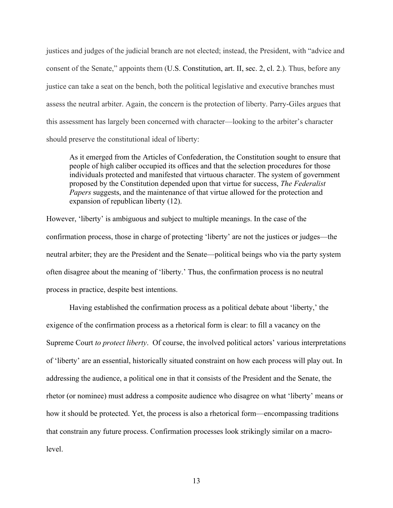justices and judges of the judicial branch are not elected; instead, the President, with "advice and consent of the Senate," appoints them (U.S. Constitution, art. II, sec. 2, cl. 2.). Thus, before any justice can take a seat on the bench, both the political legislative and executive branches must assess the neutral arbiter. Again, the concern is the protection of liberty. Parry-Giles argues that this assessment has largely been concerned with character—looking to the arbiter's character should preserve the constitutional ideal of liberty:

As it emerged from the Articles of Confederation, the Constitution sought to ensure that people of high caliber occupied its offices and that the selection procedures for those individuals protected and manifested that virtuous character. The system of government proposed by the Constitution depended upon that virtue for success, *The Federalist Papers* suggests, and the maintenance of that virtue allowed for the protection and expansion of republican liberty (12).

However, 'liberty' is ambiguous and subject to multiple meanings. In the case of the confirmation process, those in charge of protecting 'liberty' are not the justices or judges—the neutral arbiter; they are the President and the Senate—political beings who via the party system often disagree about the meaning of 'liberty.' Thus, the confirmation process is no neutral process in practice, despite best intentions.

Having established the confirmation process as a political debate about 'liberty,' the exigence of the confirmation process as a rhetorical form is clear: to fill a vacancy on the Supreme Court *to protect liberty*. Of course, the involved political actors' various interpretations of 'liberty' are an essential, historically situated constraint on how each process will play out. In addressing the audience, a political one in that it consists of the President and the Senate, the rhetor (or nominee) must address a composite audience who disagree on what 'liberty' means or how it should be protected. Yet, the process is also a rhetorical form—encompassing traditions that constrain any future process. Confirmation processes look strikingly similar on a macrolevel.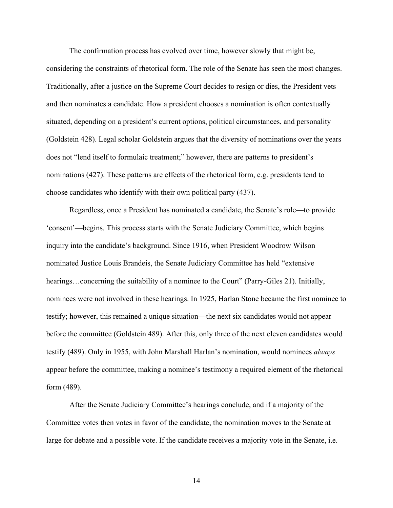The confirmation process has evolved over time, however slowly that might be, considering the constraints of rhetorical form. The role of the Senate has seen the most changes. Traditionally, after a justice on the Supreme Court decides to resign or dies, the President vets and then nominates a candidate. How a president chooses a nomination is often contextually situated, depending on a president's current options, political circumstances, and personality (Goldstein 428). Legal scholar Goldstein argues that the diversity of nominations over the years does not "lend itself to formulaic treatment;" however, there are patterns to president's nominations (427). These patterns are effects of the rhetorical form, e.g. presidents tend to choose candidates who identify with their own political party (437).

Regardless, once a President has nominated a candidate, the Senate's role—to provide 'consent'—begins. This process starts with the Senate Judiciary Committee, which begins inquiry into the candidate's background. Since 1916, when President Woodrow Wilson nominated Justice Louis Brandeis, the Senate Judiciary Committee has held "extensive hearings…concerning the suitability of a nominee to the Court" (Parry-Giles 21). Initially, nominees were not involved in these hearings. In 1925, Harlan Stone became the first nominee to testify; however, this remained a unique situation—the next six candidates would not appear before the committee (Goldstein 489). After this, only three of the next eleven candidates would testify (489). Only in 1955, with John Marshall Harlan's nomination, would nominees *always*  appear before the committee, making a nominee's testimony a required element of the rhetorical form (489).

After the Senate Judiciary Committee's hearings conclude, and if a majority of the Committee votes then votes in favor of the candidate, the nomination moves to the Senate at large for debate and a possible vote. If the candidate receives a majority vote in the Senate, i.e.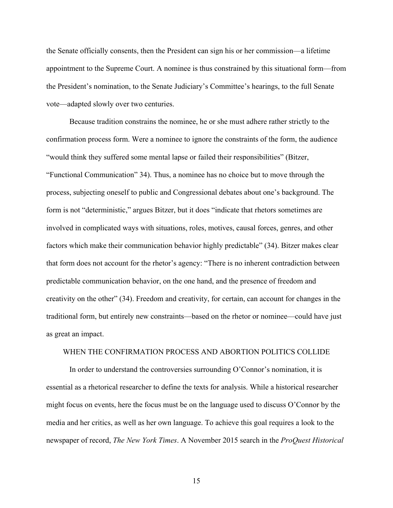the Senate officially consents, then the President can sign his or her commission—a lifetime appointment to the Supreme Court. A nominee is thus constrained by this situational form—from the President's nomination, to the Senate Judiciary's Committee's hearings, to the full Senate vote—adapted slowly over two centuries.

Because tradition constrains the nominee, he or she must adhere rather strictly to the confirmation process form. Were a nominee to ignore the constraints of the form, the audience "would think they suffered some mental lapse or failed their responsibilities" (Bitzer, "Functional Communication" 34). Thus, a nominee has no choice but to move through the process, subjecting oneself to public and Congressional debates about one's background. The form is not "deterministic," argues Bitzer, but it does "indicate that rhetors sometimes are involved in complicated ways with situations, roles, motives, causal forces, genres, and other factors which make their communication behavior highly predictable" (34). Bitzer makes clear that form does not account for the rhetor's agency: "There is no inherent contradiction between predictable communication behavior, on the one hand, and the presence of freedom and creativity on the other" (34). Freedom and creativity, for certain, can account for changes in the traditional form, but entirely new constraints—based on the rhetor or nominee—could have just as great an impact.

## WHEN THE CONFIRMATION PROCESS AND ABORTION POLITICS COLLIDE

In order to understand the controversies surrounding O'Connor's nomination, it is essential as a rhetorical researcher to define the texts for analysis. While a historical researcher might focus on events, here the focus must be on the language used to discuss O'Connor by the media and her critics, as well as her own language. To achieve this goal requires a look to the newspaper of record, *The New York Times*. A November 2015 search in the *ProQuest Historical*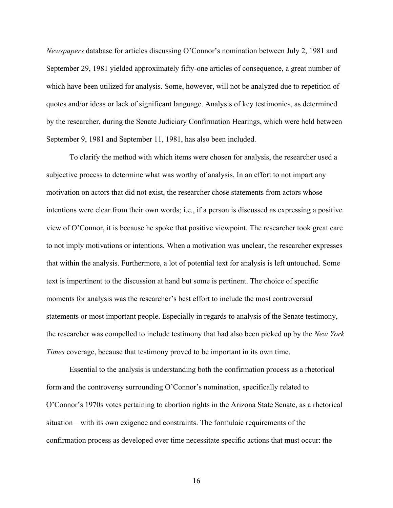*Newspapers* database for articles discussing O'Connor's nomination between July 2, 1981 and September 29, 1981 yielded approximately fifty-one articles of consequence, a great number of which have been utilized for analysis. Some, however, will not be analyzed due to repetition of quotes and/or ideas or lack of significant language. Analysis of key testimonies, as determined by the researcher, during the Senate Judiciary Confirmation Hearings, which were held between September 9, 1981 and September 11, 1981, has also been included.

To clarify the method with which items were chosen for analysis, the researcher used a subjective process to determine what was worthy of analysis. In an effort to not impart any motivation on actors that did not exist, the researcher chose statements from actors whose intentions were clear from their own words; i.e., if a person is discussed as expressing a positive view of O'Connor, it is because he spoke that positive viewpoint. The researcher took great care to not imply motivations or intentions. When a motivation was unclear, the researcher expresses that within the analysis. Furthermore, a lot of potential text for analysis is left untouched. Some text is impertinent to the discussion at hand but some is pertinent. The choice of specific moments for analysis was the researcher's best effort to include the most controversial statements or most important people. Especially in regards to analysis of the Senate testimony, the researcher was compelled to include testimony that had also been picked up by the *New York Times* coverage, because that testimony proved to be important in its own time.

Essential to the analysis is understanding both the confirmation process as a rhetorical form and the controversy surrounding O'Connor's nomination, specifically related to O'Connor's 1970s votes pertaining to abortion rights in the Arizona State Senate, as a rhetorical situation—with its own exigence and constraints. The formulaic requirements of the confirmation process as developed over time necessitate specific actions that must occur: the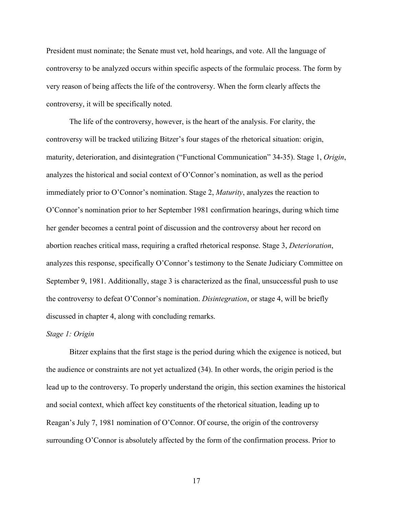President must nominate; the Senate must vet, hold hearings, and vote. All the language of controversy to be analyzed occurs within specific aspects of the formulaic process. The form by very reason of being affects the life of the controversy. When the form clearly affects the controversy, it will be specifically noted.

The life of the controversy, however, is the heart of the analysis. For clarity, the controversy will be tracked utilizing Bitzer's four stages of the rhetorical situation: origin, maturity, deterioration, and disintegration ("Functional Communication" 34-35). Stage 1, *Origin*, analyzes the historical and social context of O'Connor's nomination, as well as the period immediately prior to O'Connor's nomination. Stage 2, *Maturity*, analyzes the reaction to O'Connor's nomination prior to her September 1981 confirmation hearings, during which time her gender becomes a central point of discussion and the controversy about her record on abortion reaches critical mass, requiring a crafted rhetorical response. Stage 3, *Deterioration*, analyzes this response, specifically O'Connor's testimony to the Senate Judiciary Committee on September 9, 1981. Additionally, stage 3 is characterized as the final, unsuccessful push to use the controversy to defeat O'Connor's nomination. *Disintegration*, or stage 4, will be briefly discussed in chapter 4, along with concluding remarks.

## *Stage 1: Origin*

Bitzer explains that the first stage is the period during which the exigence is noticed, but the audience or constraints are not yet actualized (34). In other words, the origin period is the lead up to the controversy. To properly understand the origin, this section examines the historical and social context, which affect key constituents of the rhetorical situation, leading up to Reagan's July 7, 1981 nomination of O'Connor. Of course, the origin of the controversy surrounding O'Connor is absolutely affected by the form of the confirmation process. Prior to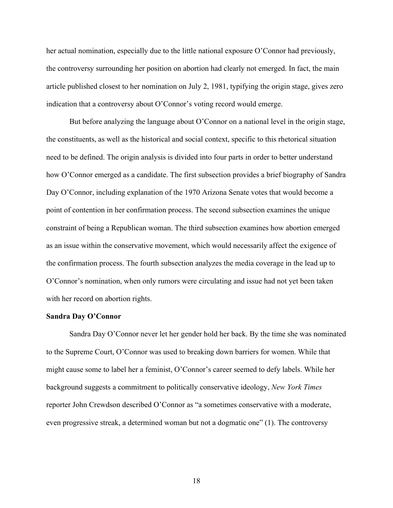her actual nomination, especially due to the little national exposure O'Connor had previously, the controversy surrounding her position on abortion had clearly not emerged. In fact, the main article published closest to her nomination on July 2, 1981, typifying the origin stage, gives zero indication that a controversy about O'Connor's voting record would emerge.

But before analyzing the language about O'Connor on a national level in the origin stage, the constituents, as well as the historical and social context, specific to this rhetorical situation need to be defined. The origin analysis is divided into four parts in order to better understand how O'Connor emerged as a candidate. The first subsection provides a brief biography of Sandra Day O'Connor, including explanation of the 1970 Arizona Senate votes that would become a point of contention in her confirmation process. The second subsection examines the unique constraint of being a Republican woman. The third subsection examines how abortion emerged as an issue within the conservative movement, which would necessarily affect the exigence of the confirmation process. The fourth subsection analyzes the media coverage in the lead up to O'Connor's nomination, when only rumors were circulating and issue had not yet been taken with her record on abortion rights.

#### **Sandra Day O'Connor**

Sandra Day O'Connor never let her gender hold her back. By the time she was nominated to the Supreme Court, O'Connor was used to breaking down barriers for women. While that might cause some to label her a feminist, O'Connor's career seemed to defy labels. While her background suggests a commitment to politically conservative ideology, *New York Times*  reporter John Crewdson described O'Connor as "a sometimes conservative with a moderate, even progressive streak, a determined woman but not a dogmatic one" (1). The controversy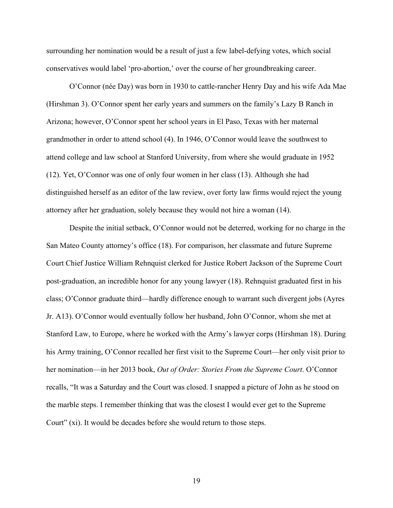surrounding her nomination would be a result of just a few label-defying votes, which social conservatives would label 'pro-abortion,' over the course of her groundbreaking career.

O'Connor (née Day) was born in 1930 to cattle-rancher Henry Day and his wife Ada Mae (Hirshman 3). O'Connor spent her early years and summers on the family's Lazy B Ranch in Arizona; however, O'Connor spent her school years in El Paso, Texas with her maternal grandmother in order to attend school (4). In 1946, O'Connor would leave the southwest to attend college and law school at Stanford University, from where she would graduate in 1952 (12). Yet, O'Connor was one of only four women in her class (13). Although she had distinguished herself as an editor of the law review, over forty law firms would reject the young attorney after her graduation, solely because they would not hire a woman (14).

Despite the initial setback, O'Connor would not be deterred, working for no charge in the San Mateo County attorney's office (18). For comparison, her classmate and future Supreme Court Chief Justice William Rehnquist clerked for Justice Robert Jackson of the Supreme Court post-graduation, an incredible honor for any young lawyer (18). Rehnquist graduated first in his class; O'Connor graduate third—hardly difference enough to warrant such divergent jobs (Ayres Jr. A13). O'Connor would eventually follow her husband, John O'Connor, whom she met at Stanford Law, to Europe, where he worked with the Army's lawyer corps (Hirshman 18). During his Army training, O'Connor recalled her first visit to the Supreme Court—her only visit prior to her nomination—in her 2013 book, *Out of Order: Stories From the Supreme Court*. O'Connor recalls, "It was a Saturday and the Court was closed. I snapped a picture of John as he stood on the marble steps. I remember thinking that was the closest I would ever get to the Supreme Court" (xi). It would be decades before she would return to those steps.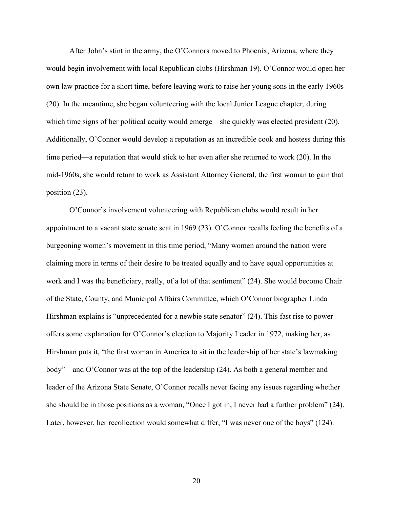After John's stint in the army, the O'Connors moved to Phoenix, Arizona, where they would begin involvement with local Republican clubs (Hirshman 19). O'Connor would open her own law practice for a short time, before leaving work to raise her young sons in the early 1960s (20). In the meantime, she began volunteering with the local Junior League chapter, during which time signs of her political acuity would emerge—she quickly was elected president (20). Additionally, O'Connor would develop a reputation as an incredible cook and hostess during this time period—a reputation that would stick to her even after she returned to work (20). In the mid-1960s, she would return to work as Assistant Attorney General, the first woman to gain that position (23).

O'Connor's involvement volunteering with Republican clubs would result in her appointment to a vacant state senate seat in 1969 (23). O'Connor recalls feeling the benefits of a burgeoning women's movement in this time period, "Many women around the nation were claiming more in terms of their desire to be treated equally and to have equal opportunities at work and I was the beneficiary, really, of a lot of that sentiment" (24). She would become Chair of the State, County, and Municipal Affairs Committee, which O'Connor biographer Linda Hirshman explains is "unprecedented for a newbie state senator" (24). This fast rise to power offers some explanation for O'Connor's election to Majority Leader in 1972, making her, as Hirshman puts it, "the first woman in America to sit in the leadership of her state's lawmaking body"—and O'Connor was at the top of the leadership (24). As both a general member and leader of the Arizona State Senate, O'Connor recalls never facing any issues regarding whether she should be in those positions as a woman, "Once I got in, I never had a further problem" (24). Later, however, her recollection would somewhat differ, "I was never one of the boys" (124).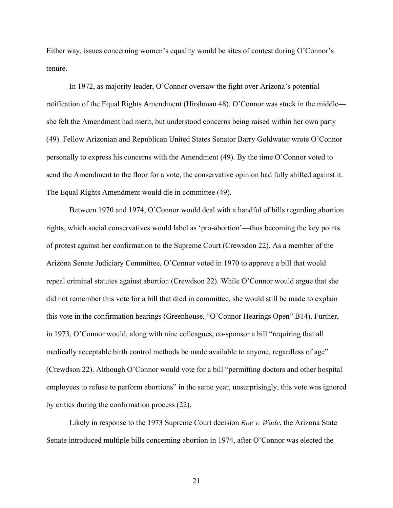Either way, issues concerning women's equality would be sites of contest during O'Connor's tenure.

In 1972, as majority leader, O'Connor oversaw the fight over Arizona's potential ratification of the Equal Rights Amendment (Hirshman 48). O'Connor was stuck in the middle she felt the Amendment had merit, but understood concerns being raised within her own party (49). Fellow Arizonian and Republican United States Senator Barry Goldwater wrote O'Connor personally to express his concerns with the Amendment (49). By the time O'Connor voted to send the Amendment to the floor for a vote, the conservative opinion had fully shifted against it. The Equal Rights Amendment would die in committee (49).

Between 1970 and 1974, O'Connor would deal with a handful of bills regarding abortion rights, which social conservatives would label as 'pro-abortion'—thus becoming the key points of protest against her confirmation to the Supreme Court (Crewsdon 22). As a member of the Arizona Senate Judiciary Committee, O'Connor voted in 1970 to approve a bill that would repeal criminal statutes against abortion (Crewdson 22). While O'Connor would argue that she did not remember this vote for a bill that died in committee, she would still be made to explain this vote in the confirmation hearings (Greenhouse, "O'Connor Hearings Open" B14). Further, in 1973, O'Connor would, along with nine colleagues, co-sponsor a bill "requiring that all medically acceptable birth control methods be made available to anyone, regardless of age" (Crewdson 22). Although O'Connor would vote for a bill "permitting doctors and other hospital employees to refuse to perform abortions" in the same year, unsurprisingly, this vote was ignored by critics during the confirmation process (22).

Likely in response to the 1973 Supreme Court decision *Roe v. Wade*, the Arizona State Senate introduced multiple bills concerning abortion in 1974, after O'Connor was elected the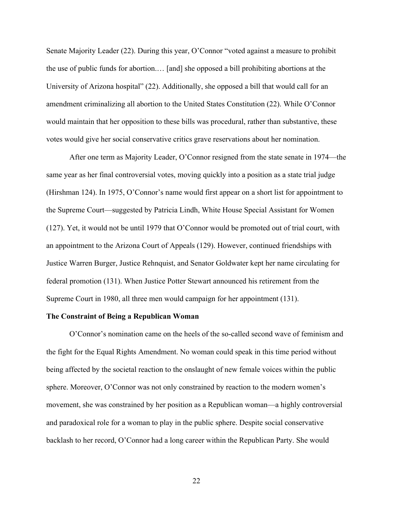Senate Majority Leader (22). During this year, O'Connor "voted against a measure to prohibit the use of public funds for abortion.… [and] she opposed a bill prohibiting abortions at the University of Arizona hospital" (22). Additionally, she opposed a bill that would call for an amendment criminalizing all abortion to the United States Constitution (22). While O'Connor would maintain that her opposition to these bills was procedural, rather than substantive, these votes would give her social conservative critics grave reservations about her nomination.

After one term as Majority Leader, O'Connor resigned from the state senate in 1974—the same year as her final controversial votes, moving quickly into a position as a state trial judge (Hirshman 124). In 1975, O'Connor's name would first appear on a short list for appointment to the Supreme Court—suggested by Patricia Lindh, White House Special Assistant for Women (127). Yet, it would not be until 1979 that O'Connor would be promoted out of trial court, with an appointment to the Arizona Court of Appeals (129). However, continued friendships with Justice Warren Burger, Justice Rehnquist, and Senator Goldwater kept her name circulating for federal promotion (131). When Justice Potter Stewart announced his retirement from the Supreme Court in 1980, all three men would campaign for her appointment (131).

## **The Constraint of Being a Republican Woman**

O'Connor's nomination came on the heels of the so-called second wave of feminism and the fight for the Equal Rights Amendment. No woman could speak in this time period without being affected by the societal reaction to the onslaught of new female voices within the public sphere. Moreover, O'Connor was not only constrained by reaction to the modern women's movement, she was constrained by her position as a Republican woman—a highly controversial and paradoxical role for a woman to play in the public sphere. Despite social conservative backlash to her record, O'Connor had a long career within the Republican Party. She would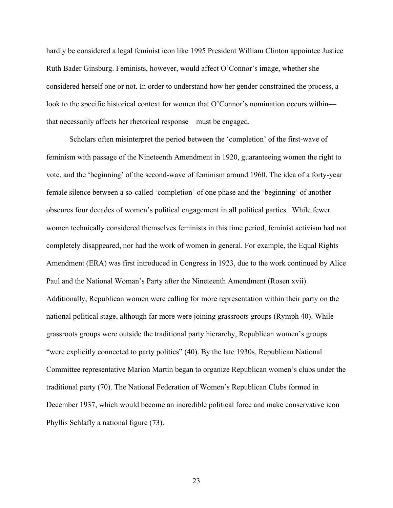hardly be considered a legal feminist icon like 1995 President William Clinton appointee Justice Ruth Bader Ginsburg. Feminists, however, would affect O'Connor's image, whether she considered herself one or not. In order to understand how her gender constrained the process, a look to the specific historical context for women that O'Connor's nomination occurs within that necessarily affects her rhetorical response—must be engaged.

Scholars often misinterpret the period between the 'completion' of the first-wave of feminism with passage of the Nineteenth Amendment in 1920, guaranteeing women the right to vote, and the 'beginning' of the second-wave of feminism around 1960. The idea of a forty-year female silence between a so-called 'completion' of one phase and the 'beginning' of another obscures four decades of women's political engagement in all political parties. While fewer women technically considered themselves feminists in this time period, feminist activism had not completely disappeared, nor had the work of women in general. For example, the Equal Rights Amendment (ERA) was first introduced in Congress in 1923, due to the work continued by Alice Paul and the National Woman's Party after the Nineteenth Amendment (Rosen xvii). Additionally, Republican women were calling for more representation within their party on the national political stage, although far more were joining grassroots groups (Rymph 40). While grassroots groups were outside the traditional party hierarchy, Republican women's groups "were explicitly connected to party politics" (40). By the late 1930s, Republican National Committee representative Marion Martin began to organize Republican women's clubs under the traditional party (70). The National Federation of Women's Republican Clubs formed in December 1937, which would become an incredible political force and make conservative icon Phyllis Schlafly a national figure (73).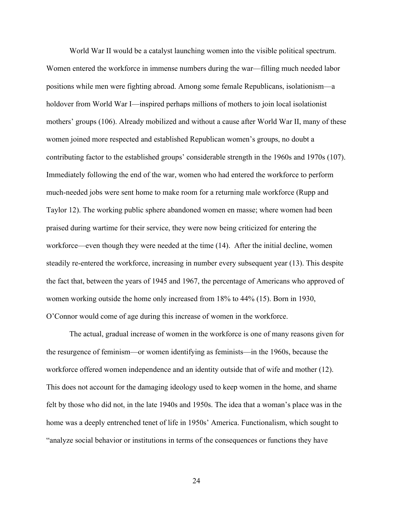World War II would be a catalyst launching women into the visible political spectrum. Women entered the workforce in immense numbers during the war—filling much needed labor positions while men were fighting abroad. Among some female Republicans, isolationism—a holdover from World War I—inspired perhaps millions of mothers to join local isolationist mothers' groups (106). Already mobilized and without a cause after World War II, many of these women joined more respected and established Republican women's groups, no doubt a contributing factor to the established groups' considerable strength in the 1960s and 1970s (107). Immediately following the end of the war, women who had entered the workforce to perform much-needed jobs were sent home to make room for a returning male workforce (Rupp and Taylor 12). The working public sphere abandoned women en masse; where women had been praised during wartime for their service, they were now being criticized for entering the workforce—even though they were needed at the time (14). After the initial decline, women steadily re-entered the workforce, increasing in number every subsequent year (13). This despite the fact that, between the years of 1945 and 1967, the percentage of Americans who approved of women working outside the home only increased from 18% to 44% (15). Born in 1930, O'Connor would come of age during this increase of women in the workforce.

The actual, gradual increase of women in the workforce is one of many reasons given for the resurgence of feminism—or women identifying as feminists—in the 1960s, because the workforce offered women independence and an identity outside that of wife and mother (12). This does not account for the damaging ideology used to keep women in the home, and shame felt by those who did not, in the late 1940s and 1950s. The idea that a woman's place was in the home was a deeply entrenched tenet of life in 1950s' America. Functionalism, which sought to "analyze social behavior or institutions in terms of the consequences or functions they have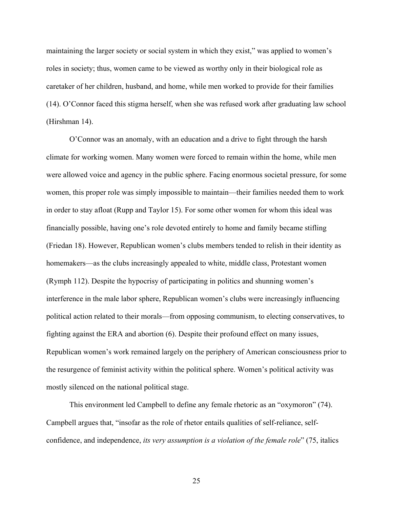maintaining the larger society or social system in which they exist," was applied to women's roles in society; thus, women came to be viewed as worthy only in their biological role as caretaker of her children, husband, and home, while men worked to provide for their families (14). O'Connor faced this stigma herself, when she was refused work after graduating law school (Hirshman 14).

O'Connor was an anomaly, with an education and a drive to fight through the harsh climate for working women. Many women were forced to remain within the home, while men were allowed voice and agency in the public sphere. Facing enormous societal pressure, for some women, this proper role was simply impossible to maintain—their families needed them to work in order to stay afloat (Rupp and Taylor 15). For some other women for whom this ideal was financially possible, having one's role devoted entirely to home and family became stifling (Friedan 18). However, Republican women's clubs members tended to relish in their identity as homemakers—as the clubs increasingly appealed to white, middle class, Protestant women (Rymph 112). Despite the hypocrisy of participating in politics and shunning women's interference in the male labor sphere, Republican women's clubs were increasingly influencing political action related to their morals—from opposing communism, to electing conservatives, to fighting against the ERA and abortion (6). Despite their profound effect on many issues, Republican women's work remained largely on the periphery of American consciousness prior to the resurgence of feminist activity within the political sphere. Women's political activity was mostly silenced on the national political stage.

This environment led Campbell to define any female rhetoric as an "oxymoron" (74). Campbell argues that, "insofar as the role of rhetor entails qualities of self-reliance, selfconfidence, and independence, *its very assumption is a violation of the female role*" (75, italics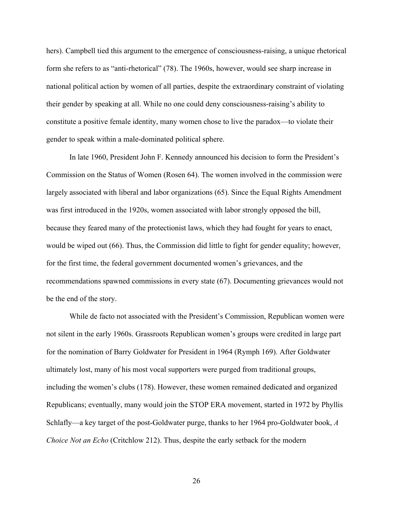hers). Campbell tied this argument to the emergence of consciousness-raising, a unique rhetorical form she refers to as "anti-rhetorical" (78). The 1960s, however, would see sharp increase in national political action by women of all parties, despite the extraordinary constraint of violating their gender by speaking at all. While no one could deny consciousness-raising's ability to constitute a positive female identity, many women chose to live the paradox—to violate their gender to speak within a male-dominated political sphere.

In late 1960, President John F. Kennedy announced his decision to form the President's Commission on the Status of Women (Rosen 64). The women involved in the commission were largely associated with liberal and labor organizations (65). Since the Equal Rights Amendment was first introduced in the 1920s, women associated with labor strongly opposed the bill, because they feared many of the protectionist laws, which they had fought for years to enact, would be wiped out (66). Thus, the Commission did little to fight for gender equality; however, for the first time, the federal government documented women's grievances, and the recommendations spawned commissions in every state (67). Documenting grievances would not be the end of the story.

While de facto not associated with the President's Commission, Republican women were not silent in the early 1960s. Grassroots Republican women's groups were credited in large part for the nomination of Barry Goldwater for President in 1964 (Rymph 169). After Goldwater ultimately lost, many of his most vocal supporters were purged from traditional groups, including the women's clubs (178). However, these women remained dedicated and organized Republicans; eventually, many would join the STOP ERA movement, started in 1972 by Phyllis Schlafly—a key target of the post-Goldwater purge, thanks to her 1964 pro-Goldwater book, *A Choice Not an Echo* (Critchlow 212). Thus, despite the early setback for the modern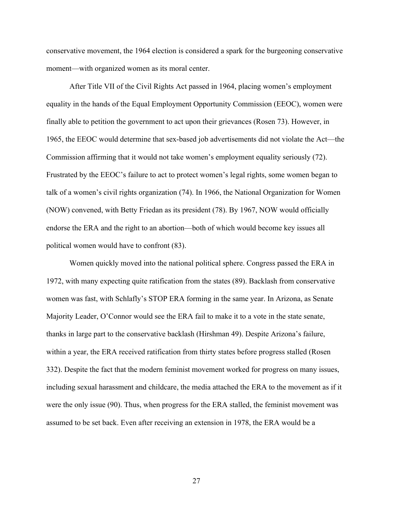conservative movement, the 1964 election is considered a spark for the burgeoning conservative moment—with organized women as its moral center.

After Title VII of the Civil Rights Act passed in 1964, placing women's employment equality in the hands of the Equal Employment Opportunity Commission (EEOC), women were finally able to petition the government to act upon their grievances (Rosen 73). However, in 1965, the EEOC would determine that sex-based job advertisements did not violate the Act—the Commission affirming that it would not take women's employment equality seriously (72). Frustrated by the EEOC's failure to act to protect women's legal rights, some women began to talk of a women's civil rights organization (74). In 1966, the National Organization for Women (NOW) convened, with Betty Friedan as its president (78). By 1967, NOW would officially endorse the ERA and the right to an abortion—both of which would become key issues all political women would have to confront (83).

Women quickly moved into the national political sphere. Congress passed the ERA in 1972, with many expecting quite ratification from the states (89). Backlash from conservative women was fast, with Schlafly's STOP ERA forming in the same year. In Arizona, as Senate Majority Leader, O'Connor would see the ERA fail to make it to a vote in the state senate, thanks in large part to the conservative backlash (Hirshman 49). Despite Arizona's failure, within a year, the ERA received ratification from thirty states before progress stalled (Rosen 332). Despite the fact that the modern feminist movement worked for progress on many issues, including sexual harassment and childcare, the media attached the ERA to the movement as if it were the only issue (90). Thus, when progress for the ERA stalled, the feminist movement was assumed to be set back. Even after receiving an extension in 1978, the ERA would be a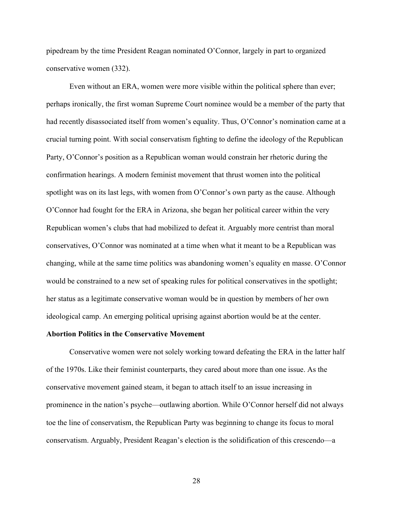pipedream by the time President Reagan nominated O'Connor, largely in part to organized conservative women (332).

Even without an ERA, women were more visible within the political sphere than ever; perhaps ironically, the first woman Supreme Court nominee would be a member of the party that had recently disassociated itself from women's equality. Thus, O'Connor's nomination came at a crucial turning point. With social conservatism fighting to define the ideology of the Republican Party, O'Connor's position as a Republican woman would constrain her rhetoric during the confirmation hearings. A modern feminist movement that thrust women into the political spotlight was on its last legs, with women from O'Connor's own party as the cause. Although O'Connor had fought for the ERA in Arizona, she began her political career within the very Republican women's clubs that had mobilized to defeat it. Arguably more centrist than moral conservatives, O'Connor was nominated at a time when what it meant to be a Republican was changing, while at the same time politics was abandoning women's equality en masse. O'Connor would be constrained to a new set of speaking rules for political conservatives in the spotlight; her status as a legitimate conservative woman would be in question by members of her own ideological camp. An emerging political uprising against abortion would be at the center.

## **Abortion Politics in the Conservative Movement**

Conservative women were not solely working toward defeating the ERA in the latter half of the 1970s. Like their feminist counterparts, they cared about more than one issue. As the conservative movement gained steam, it began to attach itself to an issue increasing in prominence in the nation's psyche—outlawing abortion. While O'Connor herself did not always toe the line of conservatism, the Republican Party was beginning to change its focus to moral conservatism. Arguably, President Reagan's election is the solidification of this crescendo—a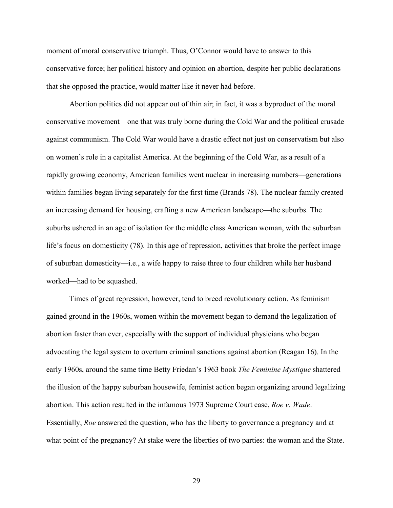moment of moral conservative triumph. Thus, O'Connor would have to answer to this conservative force; her political history and opinion on abortion, despite her public declarations that she opposed the practice, would matter like it never had before.

Abortion politics did not appear out of thin air; in fact, it was a byproduct of the moral conservative movement—one that was truly borne during the Cold War and the political crusade against communism. The Cold War would have a drastic effect not just on conservatism but also on women's role in a capitalist America. At the beginning of the Cold War, as a result of a rapidly growing economy, American families went nuclear in increasing numbers—generations within families began living separately for the first time (Brands 78). The nuclear family created an increasing demand for housing, crafting a new American landscape—the suburbs. The suburbs ushered in an age of isolation for the middle class American woman, with the suburban life's focus on domesticity (78). In this age of repression, activities that broke the perfect image of suburban domesticity—i.e., a wife happy to raise three to four children while her husband worked—had to be squashed.

Times of great repression, however, tend to breed revolutionary action. As feminism gained ground in the 1960s, women within the movement began to demand the legalization of abortion faster than ever, especially with the support of individual physicians who began advocating the legal system to overturn criminal sanctions against abortion (Reagan 16). In the early 1960s, around the same time Betty Friedan's 1963 book *The Feminine Mystique* shattered the illusion of the happy suburban housewife, feminist action began organizing around legalizing abortion. This action resulted in the infamous 1973 Supreme Court case, *Roe v. Wade*. Essentially, *Roe* answered the question, who has the liberty to governance a pregnancy and at what point of the pregnancy? At stake were the liberties of two parties: the woman and the State.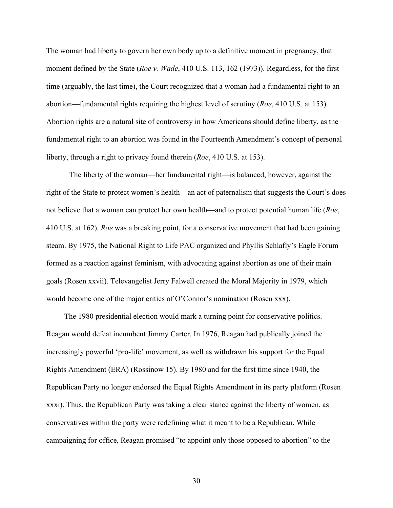The woman had liberty to govern her own body up to a definitive moment in pregnancy, that moment defined by the State (*Roe v. Wade*, 410 U.S. 113, 162 (1973)). Regardless, for the first time (arguably, the last time), the Court recognized that a woman had a fundamental right to an abortion—fundamental rights requiring the highest level of scrutiny (*Roe*, 410 U.S. at 153). Abortion rights are a natural site of controversy in how Americans should define liberty, as the fundamental right to an abortion was found in the Fourteenth Amendment's concept of personal liberty, through a right to privacy found therein (*Roe*, 410 U.S. at 153).

The liberty of the woman—her fundamental right—is balanced, however, against the right of the State to protect women's health—an act of paternalism that suggests the Court's does not believe that a woman can protect her own health—and to protect potential human life (*Roe*, 410 U.S. at 162). *Roe* was a breaking point, for a conservative movement that had been gaining steam. By 1975, the National Right to Life PAC organized and Phyllis Schlafly's Eagle Forum formed as a reaction against feminism, with advocating against abortion as one of their main goals (Rosen xxvii). Televangelist Jerry Falwell created the Moral Majority in 1979, which would become one of the major critics of O'Connor's nomination (Rosen xxx).

The 1980 presidential election would mark a turning point for conservative politics. Reagan would defeat incumbent Jimmy Carter. In 1976, Reagan had publically joined the increasingly powerful 'pro-life' movement, as well as withdrawn his support for the Equal Rights Amendment (ERA) (Rossinow 15). By 1980 and for the first time since 1940, the Republican Party no longer endorsed the Equal Rights Amendment in its party platform (Rosen xxxi). Thus, the Republican Party was taking a clear stance against the liberty of women, as conservatives within the party were redefining what it meant to be a Republican. While campaigning for office, Reagan promised "to appoint only those opposed to abortion" to the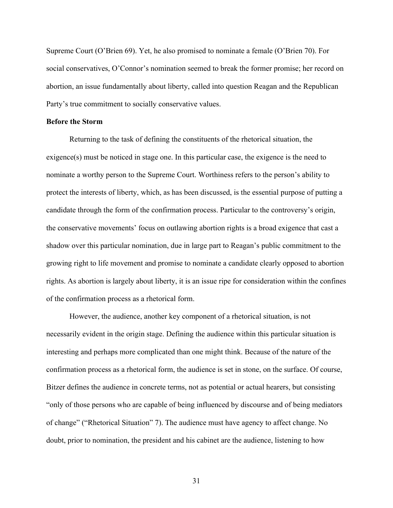Supreme Court (O'Brien 69). Yet, he also promised to nominate a female (O'Brien 70). For social conservatives, O'Connor's nomination seemed to break the former promise; her record on abortion, an issue fundamentally about liberty, called into question Reagan and the Republican Party's true commitment to socially conservative values.

## **Before the Storm**

Returning to the task of defining the constituents of the rhetorical situation, the  $e^{i\theta}$  exigence(s) must be noticed in stage one. In this particular case, the exigence is the need to nominate a worthy person to the Supreme Court. Worthiness refers to the person's ability to protect the interests of liberty, which, as has been discussed, is the essential purpose of putting a candidate through the form of the confirmation process. Particular to the controversy's origin, the conservative movements' focus on outlawing abortion rights is a broad exigence that cast a shadow over this particular nomination, due in large part to Reagan's public commitment to the growing right to life movement and promise to nominate a candidate clearly opposed to abortion rights. As abortion is largely about liberty, it is an issue ripe for consideration within the confines of the confirmation process as a rhetorical form.

However, the audience, another key component of a rhetorical situation, is not necessarily evident in the origin stage. Defining the audience within this particular situation is interesting and perhaps more complicated than one might think. Because of the nature of the confirmation process as a rhetorical form, the audience is set in stone, on the surface. Of course, Bitzer defines the audience in concrete terms, not as potential or actual hearers, but consisting "only of those persons who are capable of being influenced by discourse and of being mediators of change" ("Rhetorical Situation" 7). The audience must have agency to affect change. No doubt, prior to nomination, the president and his cabinet are the audience, listening to how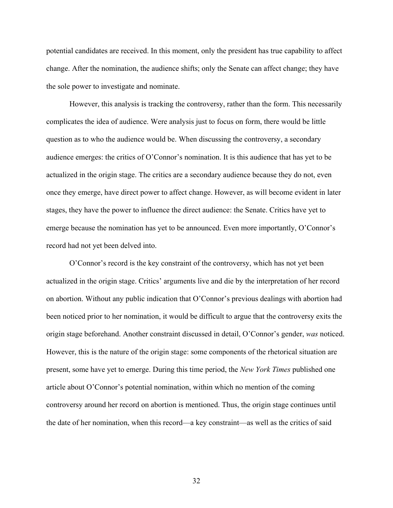potential candidates are received. In this moment, only the president has true capability to affect change. After the nomination, the audience shifts; only the Senate can affect change; they have the sole power to investigate and nominate.

However, this analysis is tracking the controversy, rather than the form. This necessarily complicates the idea of audience. Were analysis just to focus on form, there would be little question as to who the audience would be. When discussing the controversy, a secondary audience emerges: the critics of O'Connor's nomination. It is this audience that has yet to be actualized in the origin stage. The critics are a secondary audience because they do not, even once they emerge, have direct power to affect change. However, as will become evident in later stages, they have the power to influence the direct audience: the Senate. Critics have yet to emerge because the nomination has yet to be announced. Even more importantly, O'Connor's record had not yet been delved into.

O'Connor's record is the key constraint of the controversy, which has not yet been actualized in the origin stage. Critics' arguments live and die by the interpretation of her record on abortion. Without any public indication that O'Connor's previous dealings with abortion had been noticed prior to her nomination, it would be difficult to argue that the controversy exits the origin stage beforehand. Another constraint discussed in detail, O'Connor's gender, *was* noticed. However, this is the nature of the origin stage: some components of the rhetorical situation are present, some have yet to emerge. During this time period, the *New York Times* published one article about O'Connor's potential nomination, within which no mention of the coming controversy around her record on abortion is mentioned. Thus, the origin stage continues until the date of her nomination, when this record—a key constraint—as well as the critics of said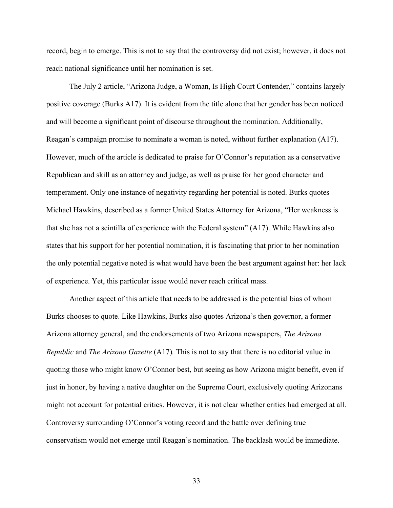record, begin to emerge. This is not to say that the controversy did not exist; however, it does not reach national significance until her nomination is set.

The July 2 article, "Arizona Judge, a Woman, Is High Court Contender," contains largely positive coverage (Burks A17). It is evident from the title alone that her gender has been noticed and will become a significant point of discourse throughout the nomination. Additionally, Reagan's campaign promise to nominate a woman is noted, without further explanation (A17). However, much of the article is dedicated to praise for O'Connor's reputation as a conservative Republican and skill as an attorney and judge, as well as praise for her good character and temperament. Only one instance of negativity regarding her potential is noted. Burks quotes Michael Hawkins, described as a former United States Attorney for Arizona, "Her weakness is that she has not a scintilla of experience with the Federal system" (A17). While Hawkins also states that his support for her potential nomination, it is fascinating that prior to her nomination the only potential negative noted is what would have been the best argument against her: her lack of experience. Yet, this particular issue would never reach critical mass.

Another aspect of this article that needs to be addressed is the potential bias of whom Burks chooses to quote. Like Hawkins, Burks also quotes Arizona's then governor, a former Arizona attorney general, and the endorsements of two Arizona newspapers, *The Arizona Republic* and *The Arizona Gazette* (A17)*.* This is not to say that there is no editorial value in quoting those who might know O'Connor best, but seeing as how Arizona might benefit, even if just in honor, by having a native daughter on the Supreme Court, exclusively quoting Arizonans might not account for potential critics. However, it is not clear whether critics had emerged at all. Controversy surrounding O'Connor's voting record and the battle over defining true conservatism would not emerge until Reagan's nomination. The backlash would be immediate.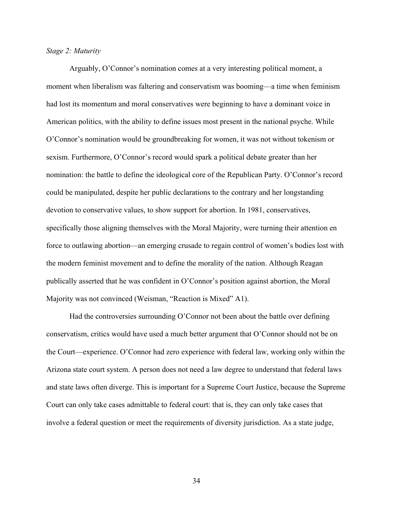## *Stage 2: Maturity*

Arguably, O'Connor's nomination comes at a very interesting political moment, a moment when liberalism was faltering and conservatism was booming—a time when feminism had lost its momentum and moral conservatives were beginning to have a dominant voice in American politics, with the ability to define issues most present in the national psyche. While O'Connor's nomination would be groundbreaking for women, it was not without tokenism or sexism. Furthermore, O'Connor's record would spark a political debate greater than her nomination: the battle to define the ideological core of the Republican Party. O'Connor's record could be manipulated, despite her public declarations to the contrary and her longstanding devotion to conservative values, to show support for abortion. In 1981, conservatives, specifically those aligning themselves with the Moral Majority, were turning their attention en force to outlawing abortion—an emerging crusade to regain control of women's bodies lost with the modern feminist movement and to define the morality of the nation. Although Reagan publically asserted that he was confident in O'Connor's position against abortion, the Moral Majority was not convinced (Weisman, "Reaction is Mixed" A1).

Had the controversies surrounding O'Connor not been about the battle over defining conservatism, critics would have used a much better argument that O'Connor should not be on the Court—experience. O'Connor had zero experience with federal law, working only within the Arizona state court system. A person does not need a law degree to understand that federal laws and state laws often diverge. This is important for a Supreme Court Justice, because the Supreme Court can only take cases admittable to federal court: that is, they can only take cases that involve a federal question or meet the requirements of diversity jurisdiction. As a state judge,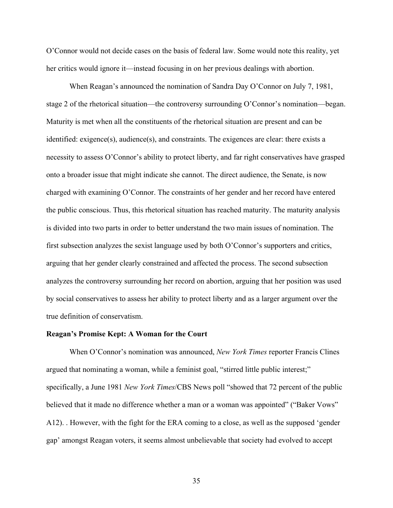O'Connor would not decide cases on the basis of federal law. Some would note this reality, yet her critics would ignore it—instead focusing in on her previous dealings with abortion.

When Reagan's announced the nomination of Sandra Day O'Connor on July 7, 1981, stage 2 of the rhetorical situation—the controversy surrounding O'Connor's nomination—began. Maturity is met when all the constituents of the rhetorical situation are present and can be identified: exigence(s), audience(s), and constraints. The exigences are clear: there exists a necessity to assess O'Connor's ability to protect liberty, and far right conservatives have grasped onto a broader issue that might indicate she cannot. The direct audience, the Senate, is now charged with examining O'Connor. The constraints of her gender and her record have entered the public conscious. Thus, this rhetorical situation has reached maturity. The maturity analysis is divided into two parts in order to better understand the two main issues of nomination. The first subsection analyzes the sexist language used by both O'Connor's supporters and critics, arguing that her gender clearly constrained and affected the process. The second subsection analyzes the controversy surrounding her record on abortion, arguing that her position was used by social conservatives to assess her ability to protect liberty and as a larger argument over the true definition of conservatism.

## **Reagan's Promise Kept: A Woman for the Court**

When O'Connor's nomination was announced, *New York Times* reporter Francis Clines argued that nominating a woman, while a feminist goal, "stirred little public interest;" specifically, a June 1981 *New York Times*/CBS News poll "showed that 72 percent of the public believed that it made no difference whether a man or a woman was appointed" ("Baker Vows" A12). . However, with the fight for the ERA coming to a close, as well as the supposed 'gender gap' amongst Reagan voters, it seems almost unbelievable that society had evolved to accept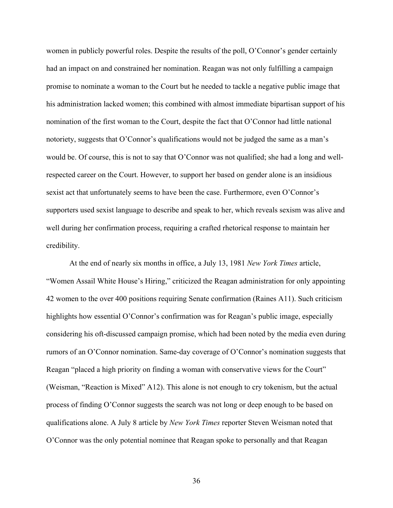women in publicly powerful roles. Despite the results of the poll, O'Connor's gender certainly had an impact on and constrained her nomination. Reagan was not only fulfilling a campaign promise to nominate a woman to the Court but he needed to tackle a negative public image that his administration lacked women; this combined with almost immediate bipartisan support of his nomination of the first woman to the Court, despite the fact that O'Connor had little national notoriety, suggests that O'Connor's qualifications would not be judged the same as a man's would be. Of course, this is not to say that O'Connor was not qualified; she had a long and wellrespected career on the Court. However, to support her based on gender alone is an insidious sexist act that unfortunately seems to have been the case. Furthermore, even O'Connor's supporters used sexist language to describe and speak to her, which reveals sexism was alive and well during her confirmation process, requiring a crafted rhetorical response to maintain her credibility.

At the end of nearly six months in office, a July 13, 1981 *New York Times* article, "Women Assail White House's Hiring," criticized the Reagan administration for only appointing 42 women to the over 400 positions requiring Senate confirmation (Raines A11). Such criticism highlights how essential O'Connor's confirmation was for Reagan's public image, especially considering his oft-discussed campaign promise, which had been noted by the media even during rumors of an O'Connor nomination. Same-day coverage of O'Connor's nomination suggests that Reagan "placed a high priority on finding a woman with conservative views for the Court" (Weisman, "Reaction is Mixed" A12). This alone is not enough to cry tokenism, but the actual process of finding O'Connor suggests the search was not long or deep enough to be based on qualifications alone. A July 8 article by *New York Times* reporter Steven Weisman noted that O'Connor was the only potential nominee that Reagan spoke to personally and that Reagan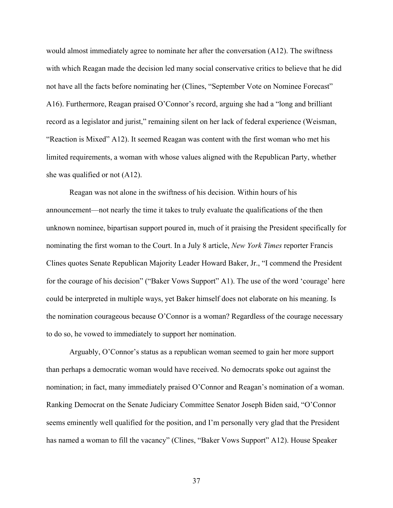would almost immediately agree to nominate her after the conversation (A12). The swiftness with which Reagan made the decision led many social conservative critics to believe that he did not have all the facts before nominating her (Clines, "September Vote on Nominee Forecast" A16). Furthermore, Reagan praised O'Connor's record, arguing she had a "long and brilliant record as a legislator and jurist," remaining silent on her lack of federal experience (Weisman, "Reaction is Mixed" A12). It seemed Reagan was content with the first woman who met his limited requirements, a woman with whose values aligned with the Republican Party, whether she was qualified or not (A12).

Reagan was not alone in the swiftness of his decision. Within hours of his announcement—not nearly the time it takes to truly evaluate the qualifications of the then unknown nominee, bipartisan support poured in, much of it praising the President specifically for nominating the first woman to the Court. In a July 8 article, *New York Times* reporter Francis Clines quotes Senate Republican Majority Leader Howard Baker, Jr., "I commend the President for the courage of his decision" ("Baker Vows Support" A1). The use of the word 'courage' here could be interpreted in multiple ways, yet Baker himself does not elaborate on his meaning. Is the nomination courageous because O'Connor is a woman? Regardless of the courage necessary to do so, he vowed to immediately to support her nomination.

Arguably, O'Connor's status as a republican woman seemed to gain her more support than perhaps a democratic woman would have received. No democrats spoke out against the nomination; in fact, many immediately praised O'Connor and Reagan's nomination of a woman. Ranking Democrat on the Senate Judiciary Committee Senator Joseph Biden said, "O'Connor seems eminently well qualified for the position, and I'm personally very glad that the President has named a woman to fill the vacancy" (Clines, "Baker Vows Support" A12). House Speaker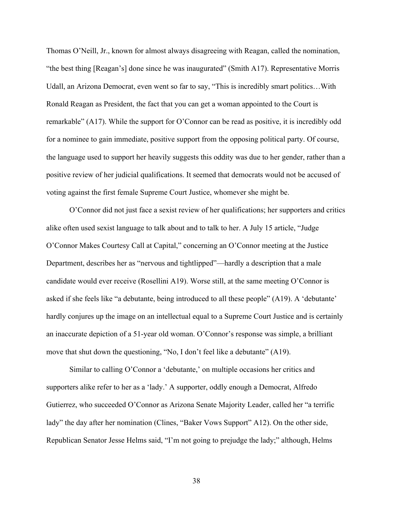Thomas O'Neill, Jr., known for almost always disagreeing with Reagan, called the nomination, "the best thing [Reagan's] done since he was inaugurated" (Smith A17). Representative Morris Udall, an Arizona Democrat, even went so far to say, "This is incredibly smart politics…With Ronald Reagan as President, the fact that you can get a woman appointed to the Court is remarkable" (A17). While the support for O'Connor can be read as positive, it is incredibly odd for a nominee to gain immediate, positive support from the opposing political party. Of course, the language used to support her heavily suggests this oddity was due to her gender, rather than a positive review of her judicial qualifications. It seemed that democrats would not be accused of voting against the first female Supreme Court Justice, whomever she might be.

O'Connor did not just face a sexist review of her qualifications; her supporters and critics alike often used sexist language to talk about and to talk to her. A July 15 article, "Judge O'Connor Makes Courtesy Call at Capital," concerning an O'Connor meeting at the Justice Department, describes her as "nervous and tightlipped"—hardly a description that a male candidate would ever receive (Rosellini A19). Worse still, at the same meeting O'Connor is asked if she feels like "a debutante, being introduced to all these people" (A19). A 'debutante' hardly conjures up the image on an intellectual equal to a Supreme Court Justice and is certainly an inaccurate depiction of a 51-year old woman. O'Connor's response was simple, a brilliant move that shut down the questioning, "No, I don't feel like a debutante" (A19).

Similar to calling O'Connor a 'debutante,' on multiple occasions her critics and supporters alike refer to her as a 'lady.' A supporter, oddly enough a Democrat, Alfredo Gutierrez, who succeeded O'Connor as Arizona Senate Majority Leader, called her "a terrific lady" the day after her nomination (Clines, "Baker Vows Support" A12). On the other side, Republican Senator Jesse Helms said, "I'm not going to prejudge the lady;" although, Helms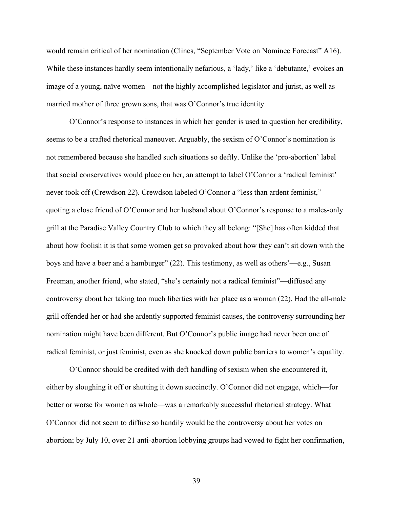would remain critical of her nomination (Clines, "September Vote on Nominee Forecast" A16). While these instances hardly seem intentionally nefarious, a 'lady,' like a 'debutante,' evokes an image of a young, naïve women—not the highly accomplished legislator and jurist, as well as married mother of three grown sons, that was O'Connor's true identity.

O'Connor's response to instances in which her gender is used to question her credibility, seems to be a crafted rhetorical maneuver. Arguably, the sexism of O'Connor's nomination is not remembered because she handled such situations so deftly. Unlike the 'pro-abortion' label that social conservatives would place on her, an attempt to label O'Connor a 'radical feminist' never took off (Crewdson 22). Crewdson labeled O'Connor a "less than ardent feminist," quoting a close friend of O'Connor and her husband about O'Connor's response to a males-only grill at the Paradise Valley Country Club to which they all belong: "[She] has often kidded that about how foolish it is that some women get so provoked about how they can't sit down with the boys and have a beer and a hamburger" (22). This testimony, as well as others'—e.g., Susan Freeman, another friend, who stated, "she's certainly not a radical feminist"—diffused any controversy about her taking too much liberties with her place as a woman (22). Had the all-male grill offended her or had she ardently supported feminist causes, the controversy surrounding her nomination might have been different. But O'Connor's public image had never been one of radical feminist, or just feminist, even as she knocked down public barriers to women's equality.

O'Connor should be credited with deft handling of sexism when she encountered it, either by sloughing it off or shutting it down succinctly. O'Connor did not engage, which—for better or worse for women as whole—was a remarkably successful rhetorical strategy. What O'Connor did not seem to diffuse so handily would be the controversy about her votes on abortion; by July 10, over 21 anti-abortion lobbying groups had vowed to fight her confirmation,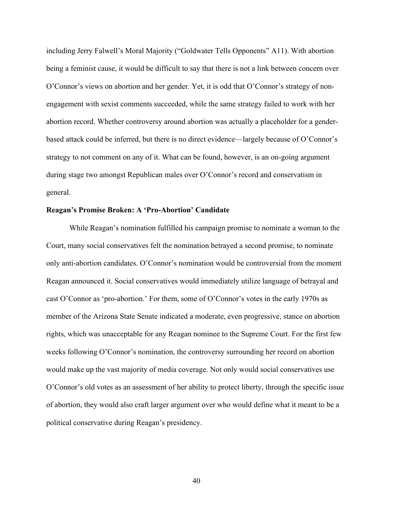including Jerry Falwell's Moral Majority ("Goldwater Tells Opponents" A11). With abortion being a feminist cause, it would be difficult to say that there is not a link between concern over O'Connor's views on abortion and her gender. Yet, it is odd that O'Connor's strategy of nonengagement with sexist comments succeeded, while the same strategy failed to work with her abortion record. Whether controversy around abortion was actually a placeholder for a genderbased attack could be inferred, but there is no direct evidence—largely because of O'Connor's strategy to not comment on any of it. What can be found, however, is an on-going argument during stage two amongst Republican males over O'Connor's record and conservatism in general.

## **Reagan's Promise Broken: A 'Pro-Abortion' Candidate**

While Reagan's nomination fulfilled his campaign promise to nominate a woman to the Court, many social conservatives felt the nomination betrayed a second promise, to nominate only anti-abortion candidates. O'Connor's nomination would be controversial from the moment Reagan announced it. Social conservatives would immediately utilize language of betrayal and cast O'Connor as 'pro-abortion.' For them, some of O'Connor's votes in the early 1970s as member of the Arizona State Senate indicated a moderate, even progressive, stance on abortion rights, which was unacceptable for any Reagan nominee to the Supreme Court. For the first few weeks following O'Connor's nomination, the controversy surrounding her record on abortion would make up the vast majority of media coverage. Not only would social conservatives use O'Connor's old votes as an assessment of her ability to protect liberty, through the specific issue of abortion, they would also craft larger argument over who would define what it meant to be a political conservative during Reagan's presidency.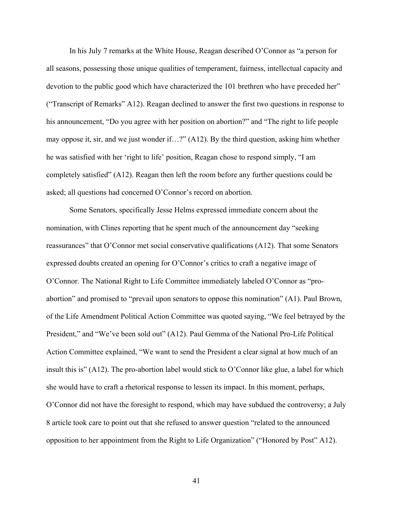In his July 7 remarks at the White House, Reagan described O'Connor as "a person for all seasons, possessing those unique qualities of temperament, fairness, intellectual capacity and devotion to the public good which have characterized the 101 brethren who have preceded her" ("Transcript of Remarks" A12). Reagan declined to answer the first two questions in response to his announcement, "Do you agree with her position on abortion?" and "The right to life people may oppose it, sir, and we just wonder if…?" (A12). By the third question, asking him whether he was satisfied with her 'right to life' position, Reagan chose to respond simply, "I am completely satisfied" (A12). Reagan then left the room before any further questions could be asked; all questions had concerned O'Connor's record on abortion.

Some Senators, specifically Jesse Helms expressed immediate concern about the nomination, with Clines reporting that he spent much of the announcement day "seeking reassurances" that O'Connor met social conservative qualifications (A12). That some Senators expressed doubts created an opening for O'Connor's critics to craft a negative image of O'Connor. The National Right to Life Committee immediately labeled O'Connor as "proabortion" and promised to "prevail upon senators to oppose this nomination" (A1). Paul Brown, of the Life Amendment Political Action Committee was quoted saying, "We feel betrayed by the President," and "We've been sold out" (A12). Paul Gemma of the National Pro-Life Political Action Committee explained, "We want to send the President a clear signal at how much of an insult this is" (A12). The pro-abortion label would stick to O'Connor like glue, a label for which she would have to craft a rhetorical response to lessen its impact. In this moment, perhaps, O'Connor did not have the foresight to respond, which may have subdued the controversy; a July 8 article took care to point out that she refused to answer question "related to the announced opposition to her appointment from the Right to Life Organization" ("Honored by Post" A12).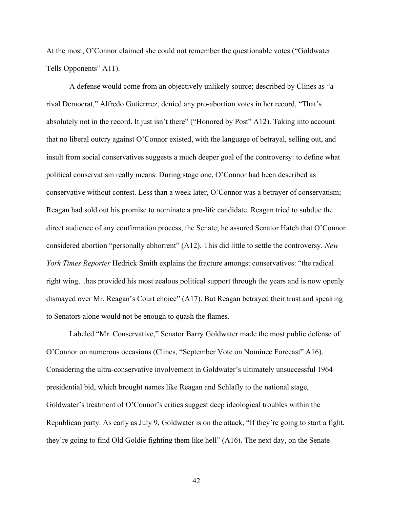At the most, O'Connor claimed she could not remember the questionable votes ("Goldwater Tells Opponents" A11).

A defense would come from an objectively unlikely source; described by Clines as "a rival Democrat," Alfredo Gutierrrez, denied any pro-abortion votes in her record, "That's absolutely not in the record. It just isn't there" ("Honored by Post" A12). Taking into account that no liberal outcry against O'Connor existed, with the language of betrayal, selling out, and insult from social conservatives suggests a much deeper goal of the controversy: to define what political conservatism really means. During stage one, O'Connor had been described as conservative without contest. Less than a week later, O'Connor was a betrayer of conservatism; Reagan had sold out his promise to nominate a pro-life candidate. Reagan tried to subdue the direct audience of any confirmation process, the Senate; he assured Senator Hatch that O'Connor considered abortion "personally abhorrent" (A12). This did little to settle the controversy. *New York Times Reporter* Hedrick Smith explains the fracture amongst conservatives: "the radical right wing…has provided his most zealous political support through the years and is now openly dismayed over Mr. Reagan's Court choice" (A17). But Reagan betrayed their trust and speaking to Senators alone would not be enough to quash the flames.

Labeled "Mr. Conservative," Senator Barry Goldwater made the most public defense of O'Connor on numerous occasions (Clines, "September Vote on Nominee Forecast" A16). Considering the ultra-conservative involvement in Goldwater's ultimately unsuccessful 1964 presidential bid, which brought names like Reagan and Schlafly to the national stage, Goldwater's treatment of O'Connor's critics suggest deep ideological troubles within the Republican party. As early as July 9, Goldwater is on the attack, "If they're going to start a fight, they're going to find Old Goldie fighting them like hell" (A16). The next day, on the Senate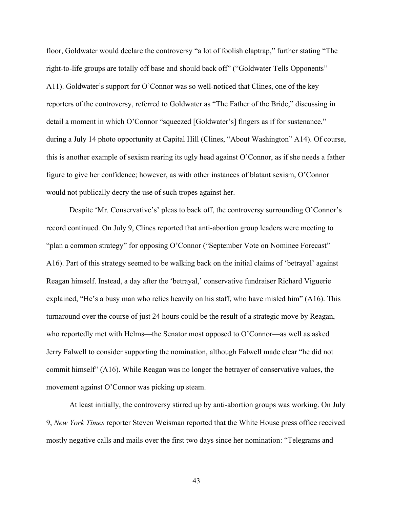floor, Goldwater would declare the controversy "a lot of foolish claptrap," further stating "The right-to-life groups are totally off base and should back off" ("Goldwater Tells Opponents" A11). Goldwater's support for O'Connor was so well-noticed that Clines, one of the key reporters of the controversy, referred to Goldwater as "The Father of the Bride," discussing in detail a moment in which O'Connor "squeezed [Goldwater's] fingers as if for sustenance," during a July 14 photo opportunity at Capital Hill (Clines, "About Washington" A14). Of course, this is another example of sexism rearing its ugly head against O'Connor, as if she needs a father figure to give her confidence; however, as with other instances of blatant sexism, O'Connor would not publically decry the use of such tropes against her.

Despite 'Mr. Conservative's' pleas to back off, the controversy surrounding O'Connor's record continued. On July 9, Clines reported that anti-abortion group leaders were meeting to "plan a common strategy" for opposing O'Connor ("September Vote on Nominee Forecast" A16). Part of this strategy seemed to be walking back on the initial claims of 'betrayal' against Reagan himself. Instead, a day after the 'betrayal,' conservative fundraiser Richard Viguerie explained, "He's a busy man who relies heavily on his staff, who have misled him" (A16). This turnaround over the course of just 24 hours could be the result of a strategic move by Reagan, who reportedly met with Helms—the Senator most opposed to O'Connor—as well as asked Jerry Falwell to consider supporting the nomination, although Falwell made clear "he did not commit himself" (A16). While Reagan was no longer the betrayer of conservative values, the movement against O'Connor was picking up steam.

At least initially, the controversy stirred up by anti-abortion groups was working. On July 9, *New York Times* reporter Steven Weisman reported that the White House press office received mostly negative calls and mails over the first two days since her nomination: "Telegrams and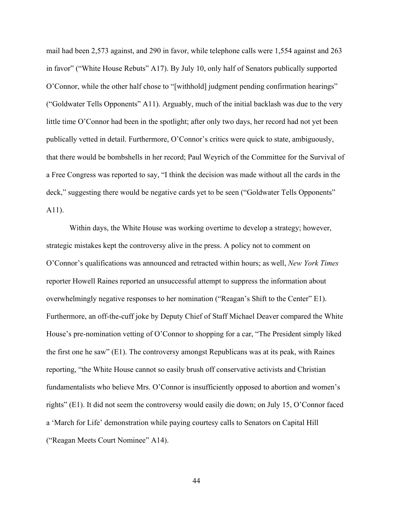mail had been 2,573 against, and 290 in favor, while telephone calls were 1,554 against and 263 in favor" ("White House Rebuts" A17). By July 10, only half of Senators publically supported O'Connor, while the other half chose to "[withhold] judgment pending confirmation hearings" ("Goldwater Tells Opponents" A11). Arguably, much of the initial backlash was due to the very little time O'Connor had been in the spotlight; after only two days, her record had not yet been publically vetted in detail. Furthermore, O'Connor's critics were quick to state, ambiguously, that there would be bombshells in her record; Paul Weyrich of the Committee for the Survival of a Free Congress was reported to say, "I think the decision was made without all the cards in the deck," suggesting there would be negative cards yet to be seen ("Goldwater Tells Opponents" A11).

Within days, the White House was working overtime to develop a strategy; however, strategic mistakes kept the controversy alive in the press. A policy not to comment on O'Connor's qualifications was announced and retracted within hours; as well, *New York Times*  reporter Howell Raines reported an unsuccessful attempt to suppress the information about overwhelmingly negative responses to her nomination ("Reagan's Shift to the Center" E1). Furthermore, an off-the-cuff joke by Deputy Chief of Staff Michael Deaver compared the White House's pre-nomination vetting of O'Connor to shopping for a car, "The President simply liked the first one he saw" (E1). The controversy amongst Republicans was at its peak, with Raines reporting, "the White House cannot so easily brush off conservative activists and Christian fundamentalists who believe Mrs. O'Connor is insufficiently opposed to abortion and women's rights" (E1). It did not seem the controversy would easily die down; on July 15, O'Connor faced a 'March for Life' demonstration while paying courtesy calls to Senators on Capital Hill ("Reagan Meets Court Nominee" A14).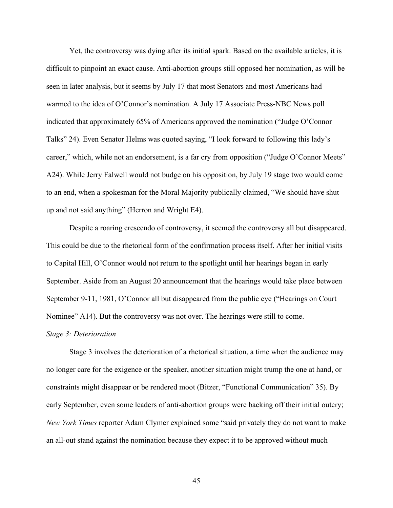Yet, the controversy was dying after its initial spark. Based on the available articles, it is difficult to pinpoint an exact cause. Anti-abortion groups still opposed her nomination, as will be seen in later analysis, but it seems by July 17 that most Senators and most Americans had warmed to the idea of O'Connor's nomination. A July 17 Associate Press-NBC News poll indicated that approximately 65% of Americans approved the nomination ("Judge O'Connor Talks" 24). Even Senator Helms was quoted saying, "I look forward to following this lady's career," which, while not an endorsement, is a far cry from opposition ("Judge O'Connor Meets" A24). While Jerry Falwell would not budge on his opposition, by July 19 stage two would come to an end, when a spokesman for the Moral Majority publically claimed, "We should have shut up and not said anything" (Herron and Wright E4).

Despite a roaring crescendo of controversy, it seemed the controversy all but disappeared. This could be due to the rhetorical form of the confirmation process itself. After her initial visits to Capital Hill, O'Connor would not return to the spotlight until her hearings began in early September. Aside from an August 20 announcement that the hearings would take place between September 9-11, 1981, O'Connor all but disappeared from the public eye ("Hearings on Court Nominee" A14). But the controversy was not over. The hearings were still to come.

## *Stage 3: Deterioration*

Stage 3 involves the deterioration of a rhetorical situation, a time when the audience may no longer care for the exigence or the speaker, another situation might trump the one at hand, or constraints might disappear or be rendered moot (Bitzer, "Functional Communication" 35). By early September, even some leaders of anti-abortion groups were backing off their initial outcry; *New York Times* reporter Adam Clymer explained some "said privately they do not want to make an all-out stand against the nomination because they expect it to be approved without much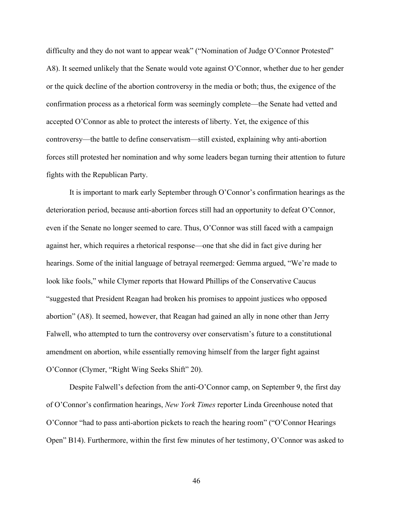difficulty and they do not want to appear weak" ("Nomination of Judge O'Connor Protested" A8). It seemed unlikely that the Senate would vote against O'Connor, whether due to her gender or the quick decline of the abortion controversy in the media or both; thus, the exigence of the confirmation process as a rhetorical form was seemingly complete—the Senate had vetted and accepted O'Connor as able to protect the interests of liberty. Yet, the exigence of this controversy—the battle to define conservatism—still existed, explaining why anti-abortion forces still protested her nomination and why some leaders began turning their attention to future fights with the Republican Party.

It is important to mark early September through O'Connor's confirmation hearings as the deterioration period, because anti-abortion forces still had an opportunity to defeat O'Connor, even if the Senate no longer seemed to care. Thus, O'Connor was still faced with a campaign against her, which requires a rhetorical response—one that she did in fact give during her hearings. Some of the initial language of betrayal reemerged: Gemma argued, "We're made to look like fools," while Clymer reports that Howard Phillips of the Conservative Caucus "suggested that President Reagan had broken his promises to appoint justices who opposed abortion" (A8). It seemed, however, that Reagan had gained an ally in none other than Jerry Falwell, who attempted to turn the controversy over conservatism's future to a constitutional amendment on abortion, while essentially removing himself from the larger fight against O'Connor (Clymer, "Right Wing Seeks Shift" 20).

Despite Falwell's defection from the anti-O'Connor camp, on September 9, the first day of O'Connor's confirmation hearings, *New York Times* reporter Linda Greenhouse noted that O'Connor "had to pass anti-abortion pickets to reach the hearing room" ("O'Connor Hearings Open" B14). Furthermore, within the first few minutes of her testimony, O'Connor was asked to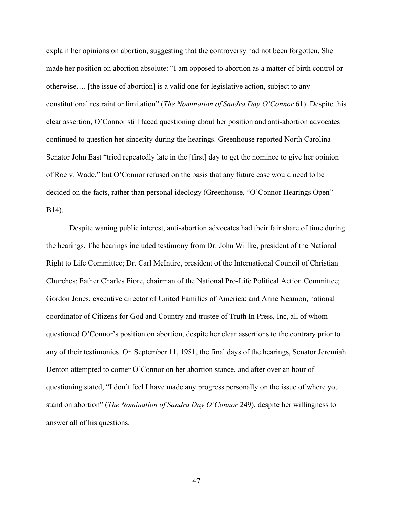explain her opinions on abortion, suggesting that the controversy had not been forgotten. She made her position on abortion absolute: "I am opposed to abortion as a matter of birth control or otherwise…. [the issue of abortion] is a valid one for legislative action, subject to any constitutional restraint or limitation" (*The Nomination of Sandra Day O'Connor* 61). Despite this clear assertion, O'Connor still faced questioning about her position and anti-abortion advocates continued to question her sincerity during the hearings. Greenhouse reported North Carolina Senator John East "tried repeatedly late in the [first] day to get the nominee to give her opinion of Roe v. Wade," but O'Connor refused on the basis that any future case would need to be decided on the facts, rather than personal ideology (Greenhouse, "O'Connor Hearings Open" B14).

Despite waning public interest, anti-abortion advocates had their fair share of time during the hearings. The hearings included testimony from Dr. John Willke, president of the National Right to Life Committee; Dr. Carl McIntire, president of the International Council of Christian Churches; Father Charles Fiore, chairman of the National Pro-Life Political Action Committee; Gordon Jones, executive director of United Families of America; and Anne Neamon, national coordinator of Citizens for God and Country and trustee of Truth In Press, Inc, all of whom questioned O'Connor's position on abortion, despite her clear assertions to the contrary prior to any of their testimonies. On September 11, 1981, the final days of the hearings, Senator Jeremiah Denton attempted to corner O'Connor on her abortion stance, and after over an hour of questioning stated, "I don't feel I have made any progress personally on the issue of where you stand on abortion" (*The Nomination of Sandra Day O'Connor* 249), despite her willingness to answer all of his questions.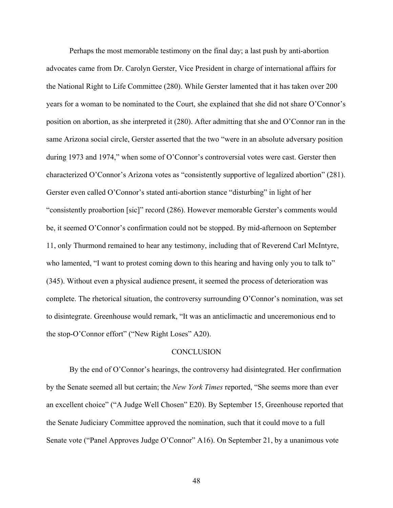Perhaps the most memorable testimony on the final day; a last push by anti-abortion advocates came from Dr. Carolyn Gerster, Vice President in charge of international affairs for the National Right to Life Committee (280). While Gerster lamented that it has taken over 200 years for a woman to be nominated to the Court, she explained that she did not share O'Connor's position on abortion, as she interpreted it (280). After admitting that she and O'Connor ran in the same Arizona social circle, Gerster asserted that the two "were in an absolute adversary position during 1973 and 1974," when some of O'Connor's controversial votes were cast. Gerster then characterized O'Connor's Arizona votes as "consistently supportive of legalized abortion" (281). Gerster even called O'Connor's stated anti-abortion stance "disturbing" in light of her "consistently proabortion [sic]" record (286). However memorable Gerster's comments would be, it seemed O'Connor's confirmation could not be stopped. By mid-afternoon on September 11, only Thurmond remained to hear any testimony, including that of Reverend Carl McIntyre, who lamented, "I want to protest coming down to this hearing and having only you to talk to" (345). Without even a physical audience present, it seemed the process of deterioration was complete. The rhetorical situation, the controversy surrounding O'Connor's nomination, was set to disintegrate. Greenhouse would remark, "It was an anticlimactic and unceremonious end to the stop-O'Connor effort" ("New Right Loses" A20).

## **CONCLUSION**

By the end of O'Connor's hearings, the controversy had disintegrated. Her confirmation by the Senate seemed all but certain; the *New York Times* reported, "She seems more than ever an excellent choice" ("A Judge Well Chosen" E20). By September 15, Greenhouse reported that the Senate Judiciary Committee approved the nomination, such that it could move to a full Senate vote ("Panel Approves Judge O'Connor" A16). On September 21, by a unanimous vote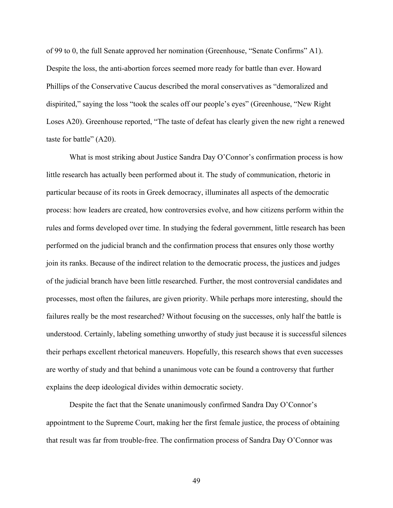of 99 to 0, the full Senate approved her nomination (Greenhouse, "Senate Confirms" A1). Despite the loss, the anti-abortion forces seemed more ready for battle than ever. Howard Phillips of the Conservative Caucus described the moral conservatives as "demoralized and dispirited," saying the loss "took the scales off our people's eyes" (Greenhouse, "New Right Loses A20). Greenhouse reported, "The taste of defeat has clearly given the new right a renewed taste for battle" (A20).

What is most striking about Justice Sandra Day O'Connor's confirmation process is how little research has actually been performed about it. The study of communication, rhetoric in particular because of its roots in Greek democracy, illuminates all aspects of the democratic process: how leaders are created, how controversies evolve, and how citizens perform within the rules and forms developed over time. In studying the federal government, little research has been performed on the judicial branch and the confirmation process that ensures only those worthy join its ranks. Because of the indirect relation to the democratic process, the justices and judges of the judicial branch have been little researched. Further, the most controversial candidates and processes, most often the failures, are given priority. While perhaps more interesting, should the failures really be the most researched? Without focusing on the successes, only half the battle is understood. Certainly, labeling something unworthy of study just because it is successful silences their perhaps excellent rhetorical maneuvers. Hopefully, this research shows that even successes are worthy of study and that behind a unanimous vote can be found a controversy that further explains the deep ideological divides within democratic society.

Despite the fact that the Senate unanimously confirmed Sandra Day O'Connor's appointment to the Supreme Court, making her the first female justice, the process of obtaining that result was far from trouble-free. The confirmation process of Sandra Day O'Connor was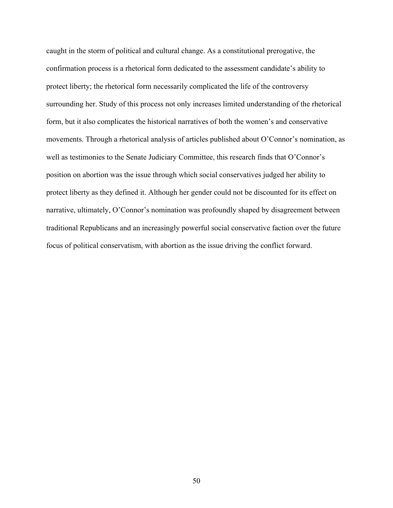caught in the storm of political and cultural change. As a constitutional prerogative, the confirmation process is a rhetorical form dedicated to the assessment candidate's ability to protect liberty; the rhetorical form necessarily complicated the life of the controversy surrounding her. Study of this process not only increases limited understanding of the rhetorical form, but it also complicates the historical narratives of both the women's and conservative movements. Through a rhetorical analysis of articles published about O'Connor's nomination, as well as testimonies to the Senate Judiciary Committee, this research finds that O'Connor's position on abortion was the issue through which social conservatives judged her ability to protect liberty as they defined it. Although her gender could not be discounted for its effect on narrative, ultimately, O'Connor's nomination was profoundly shaped by disagreement between traditional Republicans and an increasingly powerful social conservative faction over the future focus of political conservatism, with abortion as the issue driving the conflict forward.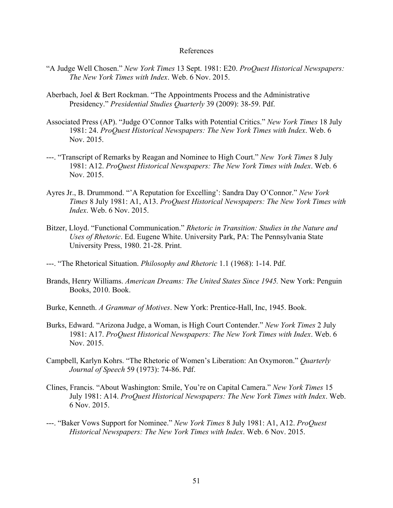## References

- "A Judge Well Chosen." *New York Times* 13 Sept. 1981: E20. *ProQuest Historical Newspapers: The New York Times with Index*. Web. 6 Nov. 2015.
- Aberbach, Joel & Bert Rockman. "The Appointments Process and the Administrative Presidency." *Presidential Studies Quarterly* 39 (2009): 38-59. Pdf.
- Associated Press (AP). "Judge O'Connor Talks with Potential Critics." *New York Times* 18 July 1981: 24. *ProQuest Historical Newspapers: The New York Times with Index*. Web. 6 Nov. 2015.
- ---. "Transcript of Remarks by Reagan and Nominee to High Court." *New York Times* 8 July 1981: A12. *ProQuest Historical Newspapers: The New York Times with Index*. Web. 6 Nov. 2015.
- Ayres Jr., B. Drummond. "'A Reputation for Excelling': Sandra Day O'Connor." *New York Times* 8 July 1981: A1, A13. *ProQuest Historical Newspapers: The New York Times with Index*. Web. 6 Nov. 2015.
- Bitzer, Lloyd. "Functional Communication." *Rhetoric in Transition: Studies in the Nature and Uses of Rhetoric*. Ed. Eugene White. University Park, PA: The Pennsylvania State University Press, 1980. 21-28. Print.
- ---. "The Rhetorical Situation. *Philosophy and Rhetoric* 1.1 (1968): 1-14. Pdf.
- Brands, Henry Williams. *American Dreams: The United States Since 1945.* New York: Penguin Books, 2010. Book.
- Burke, Kenneth. *A Grammar of Motives*. New York: Prentice-Hall, Inc, 1945. Book.
- Burks, Edward. "Arizona Judge, a Woman, is High Court Contender." *New York Times* 2 July 1981: A17. *ProQuest Historical Newspapers: The New York Times with Index*. Web. 6 Nov. 2015.
- Campbell, Karlyn Kohrs. "The Rhetoric of Women's Liberation: An Oxymoron." *Quarterly Journal of Speech* 59 (1973): 74-86. Pdf.
- Clines, Francis. "About Washington: Smile, You're on Capital Camera." *New York Times* 15 July 1981: A14. *ProQuest Historical Newspapers: The New York Times with Index*. Web. 6 Nov. 2015.
- ---. "Baker Vows Support for Nominee." *New York Times* 8 July 1981: A1, A12. *ProQuest Historical Newspapers: The New York Times with Index*. Web. 6 Nov. 2015.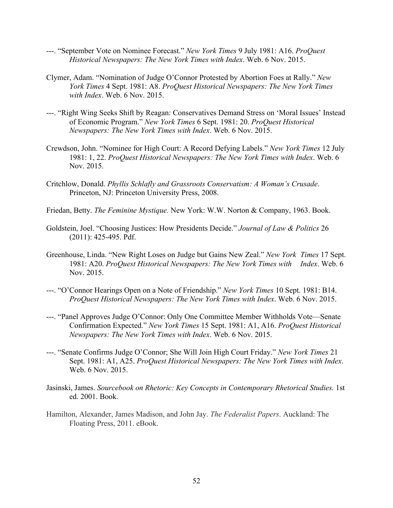- ---. "September Vote on Nominee Forecast." *New York Times* 9 July 1981: A16. *ProQuest Historical Newspapers: The New York Times with Index*. Web. 6 Nov. 2015.
- Clymer, Adam. "Nomination of Judge O'Connor Protested by Abortion Foes at Rally." *New York Times* 4 Sept. 1981: A8. *ProQuest Historical Newspapers: The New York Times with Index*. Web. 6 Nov. 2015.
- ---. "Right Wing Seeks Shift by Reagan: Conservatives Demand Stress on 'Moral Issues' Instead of Economic Program." *New York Times* 6 Sept. 1981: 20. *ProQuest Historical Newspapers: The New York Times with Index*. Web. 6 Nov. 2015.
- Crewdson, John. "Nominee for High Court: A Record Defying Labels." *New York Times* 12 July 1981: 1, 22. *ProQuest Historical Newspapers: The New York Times with Index*. Web. 6 Nov. 2015.
- Critchlow, Donald. *Phyllis Schlafly and Grassroots Conservatism: A Woman's Crusade*. Princeton, NJ: Princeton University Press, 2008.
- Friedan, Betty. *The Feminine Mystique.* New York: W.W. Norton & Company, 1963. Book.
- Goldstein, Joel. "Choosing Justices: How Presidents Decide." *Journal of Law & Politics* 26 (2011): 425-495. Pdf.
- Greenhouse, Linda. "New Right Loses on Judge but Gains New Zeal." *New York Times* 17 Sept. 1981: A20. *ProQuest Historical Newspapers: The New York Times with Index*. Web. 6 Nov. 2015.
- ---. "O'Connor Hearings Open on a Note of Friendship." *New York Times* 10 Sept. 1981: B14. *ProQuest Historical Newspapers: The New York Times with Index*. Web. 6 Nov. 2015.
- ---. "Panel Approves Judge O'Connor: Only One Committee Member Withholds Vote—Senate Confirmation Expected." *New York Times* 15 Sept. 1981: A1, A16. *ProQuest Historical Newspapers: The New York Times with Index*. Web. 6 Nov. 2015.
- ---. "Senate Confirms Judge O'Connor; She Will Join High Court Friday." *New York Times* 21 Sept. 1981: A1, A25. *ProQuest Historical Newspapers: The New York Times with Index*. Web. 6 Nov. 2015.
- Jasinski, James. *Sourcebook on Rhetoric: Key Concepts in Contemporary Rhetorical Studies.* 1st ed. 2001. Book.
- Hamilton, Alexander, James Madison, and John Jay. *The Federalist Papers*. Auckland: The Floating Press, 2011. eBook.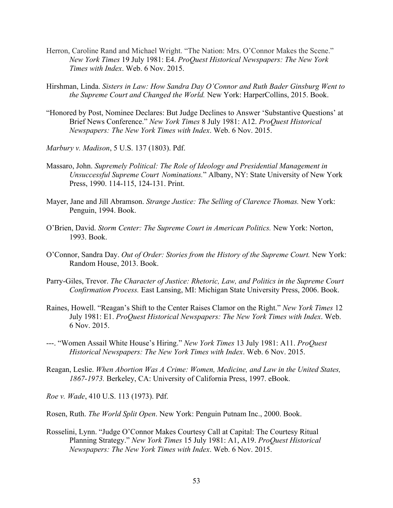- Herron, Caroline Rand and Michael Wright. "The Nation: Mrs. O'Connor Makes the Scene." *New York Times* 19 July 1981: E4. *ProQuest Historical Newspapers: The New York Times with Index*. Web. 6 Nov. 2015.
- Hirshman, Linda. *Sisters in Law: How Sandra Day O'Connor and Ruth Bader Ginsburg Went to the Supreme Court and Changed the World.* New York: HarperCollins, 2015. Book.
- "Honored by Post, Nominee Declares: But Judge Declines to Answer 'Substantive Questions' at Brief News Conference." *New York Times* 8 July 1981: A12. *ProQuest Historical Newspapers: The New York Times with Index*. Web. 6 Nov. 2015.
- *Marbury v. Madison*, 5 U.S. 137 (1803). Pdf.
- Massaro, John. *Supremely Political: The Role of Ideology and Presidential Management in Unsuccessful Supreme Court Nominations.*" Albany, NY: State University of New York Press, 1990. 114-115, 124-131. Print.
- Mayer, Jane and Jill Abramson. *Strange Justice: The Selling of Clarence Thomas.* New York: Penguin, 1994. Book.
- O'Brien, David. *Storm Center: The Supreme Court in American Politics.* New York: Norton, 1993. Book.
- O'Connor, Sandra Day. *Out of Order: Stories from the History of the Supreme Court.* New York: Random House, 2013. Book.
- Parry-Giles, Trevor. *The Character of Justice: Rhetoric, Law, and Politics in the Supreme Court Confirmation Process.* East Lansing, MI: Michigan State University Press, 2006. Book.
- Raines, Howell. "Reagan's Shift to the Center Raises Clamor on the Right." *New York Times* 12 July 1981: E1. *ProQuest Historical Newspapers: The New York Times with Index*. Web. 6 Nov. 2015.
- ---. "Women Assail White House's Hiring." *New York Times* 13 July 1981: A11. *ProQuest Historical Newspapers: The New York Times with Index*. Web. 6 Nov. 2015.
- Reagan, Leslie. *When Abortion Was A Crime: Women, Medicine, and Law in the United States, 1867-1973.* Berkeley, CA: University of California Press, 1997. eBook.

*Roe v. Wade*, 410 U.S. 113 (1973). Pdf.

Rosen, Ruth. *The World Split Open*. New York: Penguin Putnam Inc., 2000. Book.

Rosselini, Lynn. "Judge O'Connor Makes Courtesy Call at Capital: The Courtesy Ritual Planning Strategy." *New York Times* 15 July 1981: A1, A19. *ProQuest Historical Newspapers: The New York Times with Index*. Web. 6 Nov. 2015.